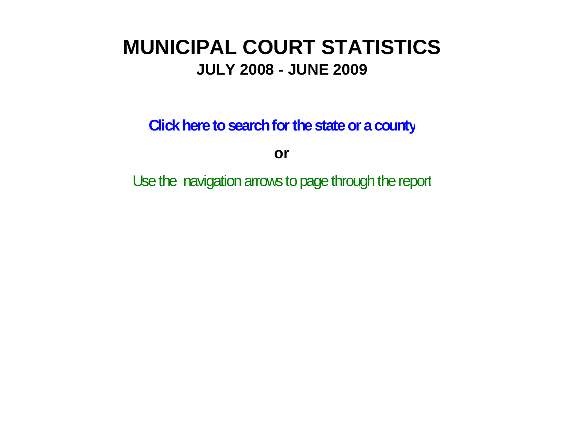# **MUNICIPAL COURT STATISTICSJULY 2008 - JUNE 2009**

**Click here to search for the state or a county**

**or**

Use the navigation arrows to page through the report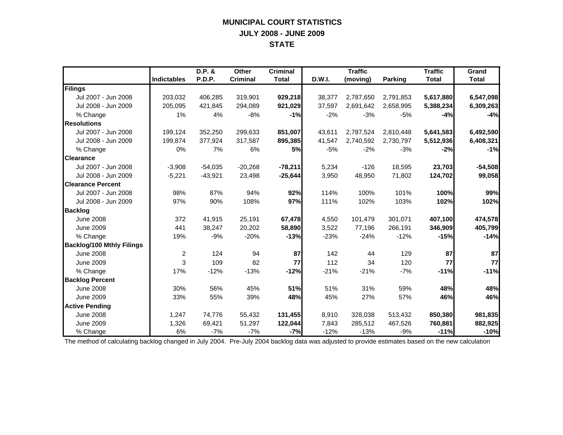## **MUNICIPAL COURT STATISTICS JULY 2008 - JUNE 2009 STATE**

|                                  |                    | D.P. &    | Other           | <b>Criminal</b> |               | <b>Traffic</b> |                | <b>Traffic</b> | Grand        |
|----------------------------------|--------------------|-----------|-----------------|-----------------|---------------|----------------|----------------|----------------|--------------|
|                                  | <b>Indictables</b> | P.D.P.    | <b>Criminal</b> | <b>Total</b>    | <b>D.W.I.</b> | (moving)       | <b>Parking</b> | <b>Total</b>   | <b>Total</b> |
| <b>Filings</b>                   |                    |           |                 |                 |               |                |                |                |              |
| Jul 2007 - Jun 2008              | 203,032            | 406,285   | 319,901         | 929,218         | 38,377        | 2,787,650      | 2,791,853      | 5,617,880      | 6,547,098    |
| Jul 2008 - Jun 2009              | 205,095            | 421,845   | 294,089         | 921,029         | 37,597        | 2,691,642      | 2,658,995      | 5,388,234      | 6,309,263    |
| % Change                         | 1%                 | 4%        | $-8%$           | $-1%$           | $-2%$         | $-3%$          | $-5%$          | $-4%$          | $-4%$        |
| <b>Resolutions</b>               |                    |           |                 |                 |               |                |                |                |              |
| Jul 2007 - Jun 2008              | 199.124            | 352,250   | 299,633         | 851.007         | 43.611        | 2,787,524      | 2,810,448      | 5,641,583      | 6,492,590    |
| Jul 2008 - Jun 2009              | 199,874            | 377,924   | 317,587         | 895,385         | 41,547        | 2,740,592      | 2,730,797      | 5,512,936      | 6,408,321    |
| % Change                         | 0%                 | 7%        | 6%              | <b>5%</b>       | $-5%$         | $-2%$          | $-3%$          | $-2%$          | $-1%$        |
| <b>Clearance</b>                 |                    |           |                 |                 |               |                |                |                |              |
| Jul 2007 - Jun 2008              | $-3,908$           | $-54,035$ | $-20,268$       | $-78,211$       | 5,234         | $-126$         | 18,595         | 23,703         | $-54,508$    |
| Jul 2008 - Jun 2009              | $-5,221$           | $-43,921$ | 23,498          | $-25,644$       | 3,950         | 48,950         | 71,802         | 124,702        | 99,058       |
| <b>Clearance Percent</b>         |                    |           |                 |                 |               |                |                |                |              |
| Jul 2007 - Jun 2008              | 98%                | 87%       | 94%             | 92%             | 114%          | 100%           | 101%           | 100%           | 99%          |
| Jul 2008 - Jun 2009              | 97%                | 90%       | 108%            | 97%             | 111%          | 102%           | 103%           | 102%           | 102%         |
| <b>Backlog</b>                   |                    |           |                 |                 |               |                |                |                |              |
| <b>June 2008</b>                 | 372                | 41,915    | 25,191          | 67,478          | 4,550         | 101,479        | 301,071        | 407,100        | 474,578      |
| <b>June 2009</b>                 | 441                | 38,247    | 20,202          | 58,890          | 3,522         | 77,196         | 266,191        | 346,909        | 405,799      |
| % Change                         | 19%                | $-9%$     | $-20%$          | $-13%$          | $-23%$        | $-24%$         | $-12%$         | $-15%$         | $-14%$       |
| <b>Backlog/100 Mthly Filings</b> |                    |           |                 |                 |               |                |                |                |              |
| <b>June 2008</b>                 | $\overline{2}$     | 124       | 94              | 87              | 142           | 44             | 129            | 87             | 87           |
| <b>June 2009</b>                 | 3                  | 109       | 82              | 77              | 112           | 34             | 120            | 77             | 77           |
| % Change                         | 17%                | $-12%$    | $-13%$          | $-12%$          | $-21%$        | $-21%$         | $-7%$          | $-11%$         | $-11%$       |
| <b>Backlog Percent</b>           |                    |           |                 |                 |               |                |                |                |              |
| <b>June 2008</b>                 | 30%                | 56%       | 45%             | 51%             | 51%           | 31%            | 59%            | 48%            | 48%          |
| <b>June 2009</b>                 | 33%                | 55%       | 39%             | 48%             | 45%           | 27%            | 57%            | 46%            | 46%          |
| <b>Active Pending</b>            |                    |           |                 |                 |               |                |                |                |              |
| <b>June 2008</b>                 | 1,247              | 74,776    | 55,432          | 131,455         | 8,910         | 328,038        | 513,432        | 850,380        | 981,835      |
| <b>June 2009</b>                 | 1,326              | 69,421    | 51,297          | 122,044         | 7,843         | 285,512        | 467,526        | 760,881        | 882,925      |
| % Change                         | 6%                 | $-7%$     | $-7%$           | $-7%$           | $-12%$        | $-13%$         | $-9%$          | $-11%$         | $-10%$       |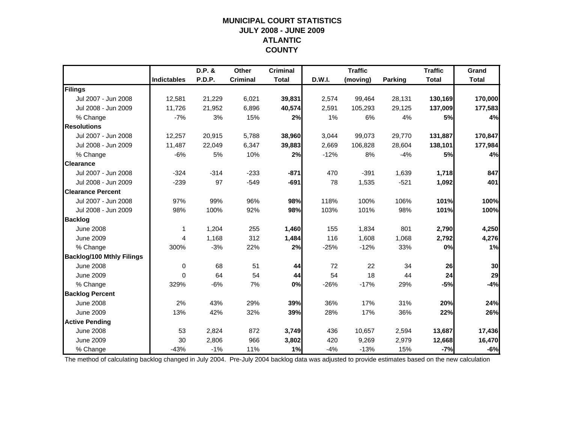## **MUNICIPAL COURT STATISTICSJULY 2008 - JUNE 2009 ATLANTIC COUNTY**

|                                  |                    | D.P. & | <b>Other</b>    | <b>Criminal</b> |        | <b>Traffic</b> |                | <b>Traffic</b> | Grand        |
|----------------------------------|--------------------|--------|-----------------|-----------------|--------|----------------|----------------|----------------|--------------|
|                                  | <b>Indictables</b> | P.D.P. | <b>Criminal</b> | <b>Total</b>    | D.W.I. | (moving)       | <b>Parking</b> | <b>Total</b>   | <b>Total</b> |
| Filings                          |                    |        |                 |                 |        |                |                |                |              |
| Jul 2007 - Jun 2008              | 12,581             | 21,229 | 6,021           | 39,831          | 2,574  | 99,464         | 28,131         | 130,169        | 170,000      |
| Jul 2008 - Jun 2009              | 11,726             | 21,952 | 6,896           | 40,574          | 2,591  | 105,293        | 29,125         | 137,009        | 177,583      |
| % Change                         | $-7%$              | 3%     | 15%             | 2%              | 1%     | 6%             | 4%             | 5%             | 4%           |
| <b>Resolutions</b>               |                    |        |                 |                 |        |                |                |                |              |
| Jul 2007 - Jun 2008              | 12,257             | 20,915 | 5,788           | 38,960          | 3,044  | 99,073         | 29,770         | 131,887        | 170,847      |
| Jul 2008 - Jun 2009              | 11,487             | 22,049 | 6,347           | 39,883          | 2,669  | 106,828        | 28,604         | 138,101        | 177,984      |
| % Change                         | $-6%$              | 5%     | 10%             | 2%              | $-12%$ | 8%             | $-4%$          | 5%             | 4%           |
| <b>Clearance</b>                 |                    |        |                 |                 |        |                |                |                |              |
| Jul 2007 - Jun 2008              | $-324$             | $-314$ | $-233$          | $-871$          | 470    | $-391$         | 1,639          | 1,718          | 847          |
| Jul 2008 - Jun 2009              | $-239$             | 97     | $-549$          | $-691$          | 78     | 1,535          | $-521$         | 1,092          | 401          |
| <b>Clearance Percent</b>         |                    |        |                 |                 |        |                |                |                |              |
| Jul 2007 - Jun 2008              | 97%                | 99%    | 96%             | 98%             | 118%   | 100%           | 106%           | 101%           | 100%         |
| Jul 2008 - Jun 2009              | 98%                | 100%   | 92%             | 98%             | 103%   | 101%           | 98%            | 101%           | 100%         |
| <b>Backlog</b>                   |                    |        |                 |                 |        |                |                |                |              |
| <b>June 2008</b>                 | $\mathbf 1$        | 1,204  | 255             | 1,460           | 155    | 1,834          | 801            | 2,790          | 4,250        |
| <b>June 2009</b>                 | 4                  | 1,168  | 312             | 1,484           | 116    | 1,608          | 1,068          | 2,792          | 4,276        |
| % Change                         | 300%               | $-3%$  | 22%             | 2%              | $-25%$ | $-12%$         | 33%            | 0%             | 1%           |
| <b>Backlog/100 Mthly Filings</b> |                    |        |                 |                 |        |                |                |                |              |
| <b>June 2008</b>                 | 0                  | 68     | 51              | 44              | 72     | 22             | 34             | 26             | 30           |
| <b>June 2009</b>                 | $\Omega$           | 64     | 54              | 44              | 54     | 18             | 44             | 24             | 29           |
| % Change                         | 329%               | $-6%$  | 7%              | 0%              | $-26%$ | $-17%$         | 29%            | $-5%$          | $-4%$        |
| <b>Backlog Percent</b>           |                    |        |                 |                 |        |                |                |                |              |
| <b>June 2008</b>                 | 2%                 | 43%    | 29%             | 39%             | 36%    | 17%            | 31%            | 20%            | 24%          |
| <b>June 2009</b>                 | 13%                | 42%    | 32%             | 39%             | 28%    | 17%            | 36%            | 22%            | 26%          |
| <b>Active Pending</b>            |                    |        |                 |                 |        |                |                |                |              |
| <b>June 2008</b>                 | 53                 | 2,824  | 872             | 3,749           | 436    | 10,657         | 2,594          | 13,687         | 17,436       |
| <b>June 2009</b>                 | 30                 | 2,806  | 966             | 3,802           | 420    | 9,269          | 2,979          | 12,668         | 16,470       |
| % Change                         | $-43%$             | $-1%$  | 11%             | 1%              | $-4%$  | $-13%$         | 15%            | $-7%$          | $-6%$        |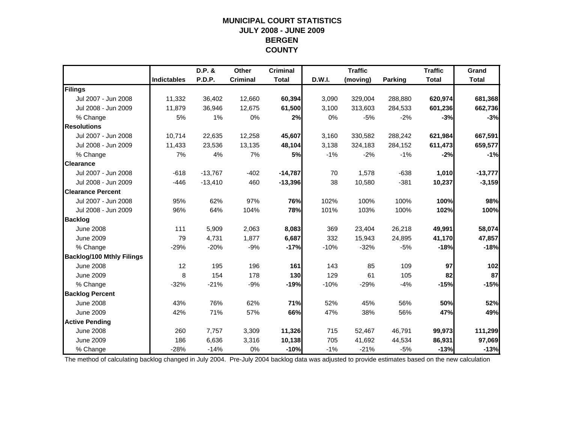## **MUNICIPAL COURT STATISTICSJULY 2008 - JUNE 2009 BERGEN COUNTY**

|                                  |                    | D.P. &    | Other           | <b>Criminal</b> |        | <b>Traffic</b> |                | <b>Traffic</b> | Grand        |
|----------------------------------|--------------------|-----------|-----------------|-----------------|--------|----------------|----------------|----------------|--------------|
|                                  | <b>Indictables</b> | P.D.P.    | <b>Criminal</b> | <b>Total</b>    | D.W.I. | (moving)       | <b>Parking</b> | <b>Total</b>   | <b>Total</b> |
| Filings                          |                    |           |                 |                 |        |                |                |                |              |
| Jul 2007 - Jun 2008              | 11,332             | 36,402    | 12,660          | 60,394          | 3,090  | 329,004        | 288,880        | 620,974        | 681,368      |
| Jul 2008 - Jun 2009              | 11,879             | 36,946    | 12,675          | 61,500          | 3,100  | 313,603        | 284,533        | 601,236        | 662,736      |
| % Change                         | 5%                 | 1%        | 0%              | 2%              | 0%     | $-5%$          | $-2%$          | $-3%$          | $-3%$        |
| <b>Resolutions</b>               |                    |           |                 |                 |        |                |                |                |              |
| Jul 2007 - Jun 2008              | 10,714             | 22,635    | 12,258          | 45,607          | 3,160  | 330,582        | 288,242        | 621,984        | 667,591      |
| Jul 2008 - Jun 2009              | 11,433             | 23,536    | 13,135          | 48,104          | 3,138  | 324,183        | 284,152        | 611,473        | 659,577      |
| % Change                         | 7%                 | 4%        | 7%              | <b>5%</b>       | $-1%$  | $-2%$          | $-1%$          | $-2%$          | $-1%$        |
| <b>Clearance</b>                 |                    |           |                 |                 |        |                |                |                |              |
| Jul 2007 - Jun 2008              | $-618$             | $-13,767$ | $-402$          | $-14,787$       | 70     | 1,578          | $-638$         | 1,010          | $-13,777$    |
| Jul 2008 - Jun 2009              | $-446$             | $-13,410$ | 460             | $-13,396$       | 38     | 10,580         | $-381$         | 10,237         | $-3,159$     |
| <b>Clearance Percent</b>         |                    |           |                 |                 |        |                |                |                |              |
| Jul 2007 - Jun 2008              | 95%                | 62%       | 97%             | 76%             | 102%   | 100%           | 100%           | 100%           | 98%          |
| Jul 2008 - Jun 2009              | 96%                | 64%       | 104%            | 78%             | 101%   | 103%           | 100%           | 102%           | 100%         |
| <b>Backlog</b>                   |                    |           |                 |                 |        |                |                |                |              |
| <b>June 2008</b>                 | 111                | 5,909     | 2,063           | 8,083           | 369    | 23,404         | 26,218         | 49,991         | 58,074       |
| <b>June 2009</b>                 | 79                 | 4,731     | 1,877           | 6,687           | 332    | 15,943         | 24,895         | 41,170         | 47,857       |
| % Change                         | $-29%$             | $-20%$    | $-9%$           | $-17%$          | $-10%$ | $-32%$         | $-5%$          | $-18%$         | $-18%$       |
| <b>Backlog/100 Mthly Filings</b> |                    |           |                 |                 |        |                |                |                |              |
| <b>June 2008</b>                 | 12                 | 195       | 196             | 161             | 143    | 85             | 109            | 97             | 102          |
| June 2009                        | 8                  | 154       | 178             | 130             | 129    | 61             | 105            | 82             | 87           |
| % Change                         | $-32%$             | $-21%$    | $-9%$           | $-19%$          | $-10%$ | $-29%$         | $-4%$          | $-15%$         | $-15%$       |
| <b>Backlog Percent</b>           |                    |           |                 |                 |        |                |                |                |              |
| <b>June 2008</b>                 | 43%                | 76%       | 62%             | 71%             | 52%    | 45%            | 56%            | 50%            | 52%          |
| <b>June 2009</b>                 | 42%                | 71%       | 57%             | 66%             | 47%    | 38%            | 56%            | 47%            | 49%          |
| <b>Active Pending</b>            |                    |           |                 |                 |        |                |                |                |              |
| <b>June 2008</b>                 | 260                | 7,757     | 3,309           | 11,326          | 715    | 52,467         | 46,791         | 99,973         | 111,299      |
| <b>June 2009</b>                 | 186                | 6,636     | 3,316           | 10,138          | 705    | 41,692         | 44,534         | 86,931         | 97,069       |
| % Change                         | $-28%$             | $-14%$    | 0%              | $-10%$          | $-1%$  | $-21%$         | $-5%$          | $-13%$         | $-13%$       |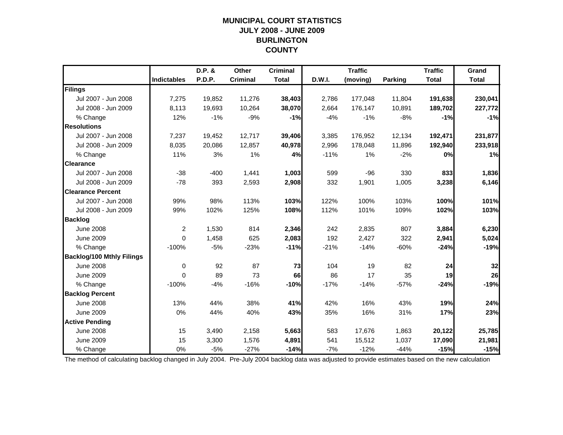## **MUNICIPAL COURT STATISTICSJULY 2008 - JUNE 2009 BURLINGTON COUNTY**

|                                  |                    | D.P. &        | Other           | <b>Criminal</b> |        | <b>Traffic</b> |         | <b>Traffic</b> | Grand        |
|----------------------------------|--------------------|---------------|-----------------|-----------------|--------|----------------|---------|----------------|--------------|
|                                  | <b>Indictables</b> | <b>P.D.P.</b> | <b>Criminal</b> | <b>Total</b>    | D.W.I. | (moving)       | Parking | <b>Total</b>   | <b>Total</b> |
| Filings                          |                    |               |                 |                 |        |                |         |                |              |
| Jul 2007 - Jun 2008              | 7,275              | 19,852        | 11,276          | 38,403          | 2,786  | 177,048        | 11,804  | 191,638        | 230,041      |
| Jul 2008 - Jun 2009              | 8,113              | 19,693        | 10,264          | 38,070          | 2,664  | 176,147        | 10,891  | 189,702        | 227,772      |
| % Change                         | 12%                | $-1%$         | $-9%$           | $-1%$           | $-4%$  | $-1%$          | $-8%$   | $-1%$          | $-1%$        |
| <b>Resolutions</b>               |                    |               |                 |                 |        |                |         |                |              |
| Jul 2007 - Jun 2008              | 7,237              | 19,452        | 12,717          | 39,406          | 3,385  | 176,952        | 12,134  | 192,471        | 231,877      |
| Jul 2008 - Jun 2009              | 8,035              | 20,086        | 12,857          | 40,978          | 2,996  | 178,048        | 11,896  | 192,940        | 233,918      |
| % Change                         | 11%                | 3%            | 1%              | 4%              | $-11%$ | 1%             | $-2%$   | 0%             | 1%           |
| <b>Clearance</b>                 |                    |               |                 |                 |        |                |         |                |              |
| Jul 2007 - Jun 2008              | $-38$              | $-400$        | 1,441           | 1,003           | 599    | $-96$          | 330     | 833            | 1,836        |
| Jul 2008 - Jun 2009              | $-78$              | 393           | 2,593           | 2,908           | 332    | 1,901          | 1,005   | 3,238          | 6,146        |
| <b>Clearance Percent</b>         |                    |               |                 |                 |        |                |         |                |              |
| Jul 2007 - Jun 2008              | 99%                | 98%           | 113%            | 103%            | 122%   | 100%           | 103%    | 100%           | 101%         |
| Jul 2008 - Jun 2009              | 99%                | 102%          | 125%            | 108%            | 112%   | 101%           | 109%    | 102%           | 103%         |
| <b>Backlog</b>                   |                    |               |                 |                 |        |                |         |                |              |
| <b>June 2008</b>                 | $\overline{c}$     | 1,530         | 814             | 2,346           | 242    | 2,835          | 807     | 3,884          | 6,230        |
| <b>June 2009</b>                 | $\Omega$           | 1,458         | 625             | 2,083           | 192    | 2,427          | 322     | 2,941          | 5,024        |
| % Change                         | $-100%$            | $-5%$         | $-23%$          | $-11%$          | $-21%$ | $-14%$         | $-60%$  | $-24%$         | $-19%$       |
| <b>Backlog/100 Mthly Filings</b> |                    |               |                 |                 |        |                |         |                |              |
| <b>June 2008</b>                 | $\mathbf 0$        | 92            | 87              | 73              | 104    | 19             | 82      | 24             | 32           |
| <b>June 2009</b>                 | $\Omega$           | 89            | 73              | 66              | 86     | 17             | 35      | 19             | 26           |
| % Change                         | $-100%$            | $-4%$         | $-16%$          | $-10%$          | $-17%$ | $-14%$         | $-57%$  | $-24%$         | $-19%$       |
| <b>Backlog Percent</b>           |                    |               |                 |                 |        |                |         |                |              |
| <b>June 2008</b>                 | 13%                | 44%           | 38%             | 41%             | 42%    | 16%            | 43%     | 19%            | 24%          |
| <b>June 2009</b>                 | 0%                 | 44%           | 40%             | 43%             | 35%    | 16%            | 31%     | 17%            | 23%          |
| <b>Active Pending</b>            |                    |               |                 |                 |        |                |         |                |              |
| <b>June 2008</b>                 | 15                 | 3,490         | 2,158           | 5,663           | 583    | 17,676         | 1,863   | 20,122         | 25,785       |
| <b>June 2009</b>                 | 15                 | 3,300         | 1,576           | 4,891           | 541    | 15,512         | 1,037   | 17,090         | 21,981       |
| % Change                         | 0%                 | $-5%$         | $-27%$          | $-14%$          | $-7%$  | $-12%$         | $-44%$  | $-15%$         | $-15%$       |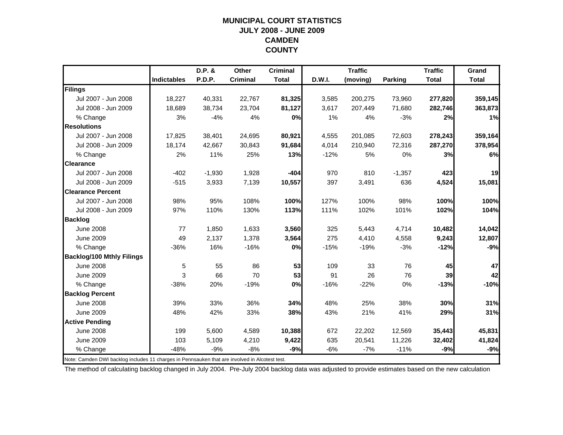#### **MUNICIPAL COURT STATISTICSJULY 2008 - JUNE 2009 CAMDEN COUNTY**

|                                  |                    | D.P. &   | <b>Other</b>    | <b>Criminal</b> |        | <b>Traffic</b> |          | <b>Traffic</b> | Grand        |
|----------------------------------|--------------------|----------|-----------------|-----------------|--------|----------------|----------|----------------|--------------|
|                                  | <b>Indictables</b> | P.D.P.   | <b>Criminal</b> | <b>Total</b>    | D.W.I. | (moving)       | Parking  | <b>Total</b>   | <b>Total</b> |
| Filings                          |                    |          |                 |                 |        |                |          |                |              |
| Jul 2007 - Jun 2008              | 18,227             | 40,331   | 22,767          | 81,325          | 3,585  | 200,275        | 73,960   | 277,820        | 359,145      |
| Jul 2008 - Jun 2009              | 18,689             | 38,734   | 23,704          | 81,127          | 3,617  | 207,449        | 71,680   | 282,746        | 363,873      |
| % Change                         | 3%                 | $-4%$    | 4%              | 0%              | 1%     | 4%             | $-3%$    | 2%             | 1%           |
| <b>Resolutions</b>               |                    |          |                 |                 |        |                |          |                |              |
| Jul 2007 - Jun 2008              | 17,825             | 38,401   | 24,695          | 80,921          | 4,555  | 201,085        | 72,603   | 278,243        | 359,164      |
| Jul 2008 - Jun 2009              | 18,174             | 42,667   | 30,843          | 91,684          | 4,014  | 210,940        | 72,316   | 287,270        | 378,954      |
| % Change                         | 2%                 | 11%      | 25%             | 13%             | $-12%$ | 5%             | 0%       | 3%             | 6%           |
| <b>Clearance</b>                 |                    |          |                 |                 |        |                |          |                |              |
| Jul 2007 - Jun 2008              | $-402$             | $-1,930$ | 1,928           | $-404$          | 970    | 810            | $-1,357$ | 423            | 19           |
| Jul 2008 - Jun 2009              | $-515$             | 3,933    | 7,139           | 10,557          | 397    | 3,491          | 636      | 4,524          | 15,081       |
| <b>Clearance Percent</b>         |                    |          |                 |                 |        |                |          |                |              |
| Jul 2007 - Jun 2008              | 98%                | 95%      | 108%            | 100%            | 127%   | 100%           | 98%      | 100%           | 100%         |
| Jul 2008 - Jun 2009              | 97%                | 110%     | 130%            | 113%            | 111%   | 102%           | 101%     | 102%           | 104%         |
| <b>Backlog</b>                   |                    |          |                 |                 |        |                |          |                |              |
| <b>June 2008</b>                 | 77                 | 1,850    | 1,633           | 3,560           | 325    | 5,443          | 4,714    | 10,482         | 14,042       |
| <b>June 2009</b>                 | 49                 | 2,137    | 1,378           | 3,564           | 275    | 4,410          | 4,558    | 9,243          | 12,807       |
| % Change                         | $-36%$             | 16%      | $-16%$          | 0%              | $-15%$ | $-19%$         | $-3%$    | $-12%$         | $-9%$        |
| <b>Backlog/100 Mthly Filings</b> |                    |          |                 |                 |        |                |          |                |              |
| <b>June 2008</b>                 | 5                  | 55       | 86              | 53              | 109    | 33             | 76       | 45             | 47           |
| <b>June 2009</b>                 | 3                  | 66       | 70              | 53              | 91     | 26             | 76       | 39             | 42           |
| % Change                         | $-38%$             | 20%      | $-19%$          | 0%              | $-16%$ | $-22%$         | 0%       | $-13%$         | $-10%$       |
| <b>Backlog Percent</b>           |                    |          |                 |                 |        |                |          |                |              |
| <b>June 2008</b>                 | 39%                | 33%      | 36%             | 34%             | 48%    | 25%            | 38%      | 30%            | 31%          |
| <b>June 2009</b>                 | 48%                | 42%      | 33%             | 38%             | 43%    | 21%            | 41%      | 29%            | 31%          |
| <b>Active Pending</b>            |                    |          |                 |                 |        |                |          |                |              |
| <b>June 2008</b>                 | 199                | 5,600    | 4,589           | 10,388          | 672    | 22,202         | 12,569   | 35,443         | 45,831       |
| <b>June 2009</b>                 | 103                | 5,109    | 4,210           | 9,422           | 635    | 20,541         | 11,226   | 32,402         | 41,824       |
| % Change                         | $-48%$             | $-9%$    | $-8%$           | $-9%$           | $-6%$  | $-7%$          | $-11%$   | $-9%$          | $-9%$        |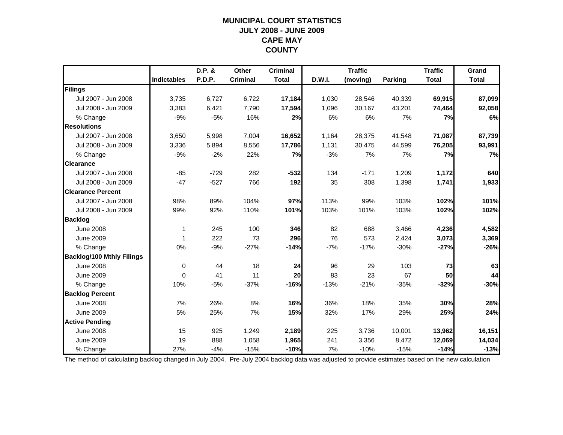## **MUNICIPAL COURT STATISTICSJULY 2008 - JUNE 2009 CAPE MAY COUNTY**

|                                  |                    | D.P. & | Other           | <b>Criminal</b> |        | <b>Traffic</b> |         | <b>Traffic</b> | Grand        |
|----------------------------------|--------------------|--------|-----------------|-----------------|--------|----------------|---------|----------------|--------------|
|                                  | <b>Indictables</b> | P.D.P. | <b>Criminal</b> | <b>Total</b>    | D.W.I. | (moving)       | Parking | <b>Total</b>   | <b>Total</b> |
| Filings                          |                    |        |                 |                 |        |                |         |                |              |
| Jul 2007 - Jun 2008              | 3,735              | 6,727  | 6,722           | 17,184          | 1,030  | 28,546         | 40,339  | 69,915         | 87,099       |
| Jul 2008 - Jun 2009              | 3,383              | 6,421  | 7,790           | 17,594          | 1,096  | 30,167         | 43,201  | 74,464         | 92,058       |
| % Change                         | $-9%$              | $-5%$  | 16%             | 2%              | 6%     | 6%             | 7%      | 7%             | 6%           |
| <b>Resolutions</b>               |                    |        |                 |                 |        |                |         |                |              |
| Jul 2007 - Jun 2008              | 3,650              | 5,998  | 7,004           | 16,652          | 1,164  | 28,375         | 41,548  | 71,087         | 87,739       |
| Jul 2008 - Jun 2009              | 3,336              | 5,894  | 8,556           | 17,786          | 1,131  | 30,475         | 44,599  | 76,205         | 93,991       |
| % Change                         | $-9%$              | $-2%$  | 22%             | 7%              | $-3%$  | 7%             | 7%      | 7%             | 7%           |
| <b>Clearance</b>                 |                    |        |                 |                 |        |                |         |                |              |
| Jul 2007 - Jun 2008              | $-85$              | $-729$ | 282             | $-532$          | 134    | $-171$         | 1,209   | 1,172          | 640          |
| Jul 2008 - Jun 2009              | $-47$              | $-527$ | 766             | 192             | 35     | 308            | 1,398   | 1,741          | 1,933        |
| <b>Clearance Percent</b>         |                    |        |                 |                 |        |                |         |                |              |
| Jul 2007 - Jun 2008              | 98%                | 89%    | 104%            | 97%             | 113%   | 99%            | 103%    | 102%           | 101%         |
| Jul 2008 - Jun 2009              | 99%                | 92%    | 110%            | 101%            | 103%   | 101%           | 103%    | 102%           | 102%         |
| <b>Backlog</b>                   |                    |        |                 |                 |        |                |         |                |              |
| <b>June 2008</b>                 | $\mathbf 1$        | 245    | 100             | 346             | 82     | 688            | 3,466   | 4,236          | 4,582        |
| <b>June 2009</b>                 | 1                  | 222    | 73              | 296             | 76     | 573            | 2,424   | 3,073          | 3,369        |
| % Change                         | 0%                 | $-9%$  | $-27%$          | $-14%$          | $-7%$  | $-17%$         | $-30%$  | $-27%$         | $-26%$       |
| <b>Backlog/100 Mthly Filings</b> |                    |        |                 |                 |        |                |         |                |              |
| <b>June 2008</b>                 | 0                  | 44     | 18              | 24              | 96     | 29             | 103     | 73             | 63           |
| <b>June 2009</b>                 | 0                  | 41     | 11              | 20              | 83     | 23             | 67      | 50             | 44           |
| % Change                         | 10%                | $-5%$  | $-37%$          | $-16%$          | $-13%$ | $-21%$         | $-35%$  | $-32%$         | $-30%$       |
| <b>Backlog Percent</b>           |                    |        |                 |                 |        |                |         |                |              |
| <b>June 2008</b>                 | 7%                 | 26%    | 8%              | 16%             | 36%    | 18%            | 35%     | 30%            | 28%          |
| <b>June 2009</b>                 | 5%                 | 25%    | 7%              | 15%             | 32%    | 17%            | 29%     | 25%            | 24%          |
| <b>Active Pending</b>            |                    |        |                 |                 |        |                |         |                |              |
| <b>June 2008</b>                 | 15                 | 925    | 1,249           | 2,189           | 225    | 3,736          | 10,001  | 13,962         | 16,151       |
| <b>June 2009</b>                 | 19                 | 888    | 1,058           | 1,965           | 241    | 3,356          | 8,472   | 12,069         | 14,034       |
| % Change                         | 27%                | $-4%$  | $-15%$          | $-10%$          | 7%     | $-10%$         | $-15%$  | $-14%$         | $-13%$       |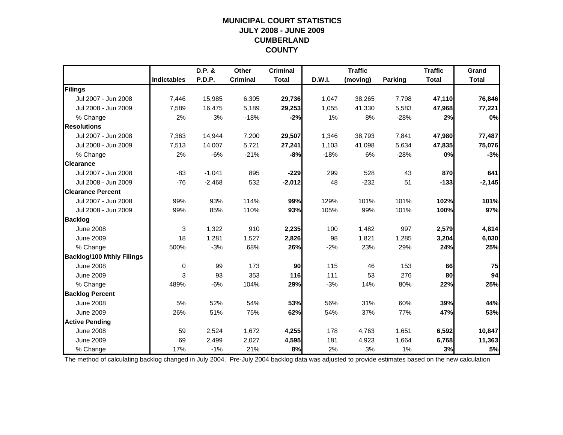## **MUNICIPAL COURT STATISTICSJULY 2008 - JUNE 2009 CUMBERLAND COUNTY**

|                                  |                    | D.P. &        | Other           | <b>Criminal</b> |        | <b>Traffic</b> |         | <b>Traffic</b> | Grand        |
|----------------------------------|--------------------|---------------|-----------------|-----------------|--------|----------------|---------|----------------|--------------|
|                                  | <b>Indictables</b> | <b>P.D.P.</b> | <b>Criminal</b> | <b>Total</b>    | D.W.I. | (moving)       | Parking | <b>Total</b>   | <b>Total</b> |
| Filings                          |                    |               |                 |                 |        |                |         |                |              |
| Jul 2007 - Jun 2008              | 7,446              | 15,985        | 6,305           | 29,736          | 1,047  | 38,265         | 7,798   | 47,110         | 76,846       |
| Jul 2008 - Jun 2009              | 7.589              | 16,475        | 5,189           | 29,253          | 1,055  | 41,330         | 5,583   | 47,968         | 77,221       |
| % Change                         | 2%                 | 3%            | $-18%$          | $-2%$           | 1%     | 8%             | $-28%$  | 2%             | 0%           |
| <b>Resolutions</b>               |                    |               |                 |                 |        |                |         |                |              |
| Jul 2007 - Jun 2008              | 7,363              | 14,944        | 7,200           | 29,507          | 1,346  | 38,793         | 7,841   | 47,980         | 77,487       |
| Jul 2008 - Jun 2009              | 7,513              | 14,007        | 5,721           | 27,241          | 1,103  | 41,098         | 5,634   | 47,835         | 75,076       |
| % Change                         | 2%                 | $-6%$         | $-21%$          | $-8%$           | $-18%$ | 6%             | $-28%$  | 0%             | $-3%$        |
| <b>Clearance</b>                 |                    |               |                 |                 |        |                |         |                |              |
| Jul 2007 - Jun 2008              | $-83$              | $-1,041$      | 895             | $-229$          | 299    | 528            | 43      | 870            | 641          |
| Jul 2008 - Jun 2009              | $-76$              | $-2,468$      | 532             | $-2,012$        | 48     | $-232$         | 51      | $-133$         | $-2,145$     |
| <b>Clearance Percent</b>         |                    |               |                 |                 |        |                |         |                |              |
| Jul 2007 - Jun 2008              | 99%                | 93%           | 114%            | 99%             | 129%   | 101%           | 101%    | 102%           | 101%         |
| Jul 2008 - Jun 2009              | 99%                | 85%           | 110%            | 93%             | 105%   | 99%            | 101%    | 100%           | 97%          |
| <b>Backlog</b>                   |                    |               |                 |                 |        |                |         |                |              |
| <b>June 2008</b>                 | 3                  | 1,322         | 910             | 2,235           | 100    | 1,482          | 997     | 2,579          | 4,814        |
| <b>June 2009</b>                 | 18                 | 1,281         | 1,527           | 2,826           | 98     | 1,821          | 1,285   | 3,204          | 6,030        |
| % Change                         | 500%               | $-3%$         | 68%             | 26%             | $-2%$  | 23%            | 29%     | 24%            | 25%          |
| <b>Backlog/100 Mthly Filings</b> |                    |               |                 |                 |        |                |         |                |              |
| <b>June 2008</b>                 | $\mathbf 0$        | 99            | 173             | 90              | 115    | 46             | 153     | 66             | 75           |
| <b>June 2009</b>                 | 3                  | 93            | 353             | 116             | 111    | 53             | 276     | 80             | 94           |
| % Change                         | 489%               | $-6%$         | 104%            | 29%             | $-3%$  | 14%            | 80%     | 22%            | 25%          |
| <b>Backlog Percent</b>           |                    |               |                 |                 |        |                |         |                |              |
| <b>June 2008</b>                 | 5%                 | 52%           | 54%             | 53%             | 56%    | 31%            | 60%     | 39%            | 44%          |
| <b>June 2009</b>                 | 26%                | 51%           | 75%             | 62%             | 54%    | 37%            | 77%     | 47%            | 53%          |
| <b>Active Pending</b>            |                    |               |                 |                 |        |                |         |                |              |
| <b>June 2008</b>                 | 59                 | 2,524         | 1,672           | 4,255           | 178    | 4,763          | 1,651   | 6,592          | 10,847       |
| <b>June 2009</b>                 | 69                 | 2,499         | 2,027           | 4,595           | 181    | 4,923          | 1,664   | 6,768          | 11,363       |
| % Change                         | 17%                | $-1%$         | 21%             | 8%              | 2%     | 3%             | 1%      | 3%             | 5%           |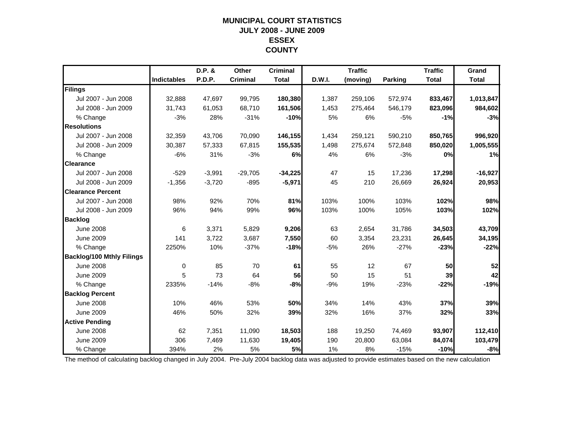## **MUNICIPAL COURT STATISTICSJULY 2008 - JUNE 2009 ESSEX COUNTY**

|                                  |                    | D.P. &   | Other           | <b>Criminal</b> |        | <b>Traffic</b> |         | <b>Traffic</b> | Grand        |
|----------------------------------|--------------------|----------|-----------------|-----------------|--------|----------------|---------|----------------|--------------|
|                                  | <b>Indictables</b> | P.D.P.   | <b>Criminal</b> | <b>Total</b>    | D.W.I. | (moving)       | Parking | <b>Total</b>   | <b>Total</b> |
| Filings                          |                    |          |                 |                 |        |                |         |                |              |
| Jul 2007 - Jun 2008              | 32,888             | 47,697   | 99,795          | 180,380         | 1,387  | 259,106        | 572,974 | 833,467        | 1,013,847    |
| Jul 2008 - Jun 2009              | 31,743             | 61,053   | 68,710          | 161,506         | 1,453  | 275,464        | 546,179 | 823,096        | 984,602      |
| % Change                         | $-3%$              | 28%      | $-31%$          | $-10%$          | 5%     | 6%             | $-5%$   | $-1%$          | $-3%$        |
| <b>Resolutions</b>               |                    |          |                 |                 |        |                |         |                |              |
| Jul 2007 - Jun 2008              | 32,359             | 43,706   | 70,090          | 146,155         | 1,434  | 259,121        | 590,210 | 850,765        | 996,920      |
| Jul 2008 - Jun 2009              | 30,387             | 57,333   | 67,815          | 155,535         | 1,498  | 275,674        | 572,848 | 850,020        | 1,005,555    |
| % Change                         | $-6%$              | 31%      | $-3%$           | 6%              | 4%     | 6%             | $-3%$   | 0%             | 1%           |
| <b>Clearance</b>                 |                    |          |                 |                 |        |                |         |                |              |
| Jul 2007 - Jun 2008              | $-529$             | $-3,991$ | $-29,705$       | $-34,225$       | 47     | 15             | 17,236  | 17,298         | $-16,927$    |
| Jul 2008 - Jun 2009              | $-1,356$           | $-3,720$ | $-895$          | $-5,971$        | 45     | 210            | 26,669  | 26,924         | 20,953       |
| <b>Clearance Percent</b>         |                    |          |                 |                 |        |                |         |                |              |
| Jul 2007 - Jun 2008              | 98%                | 92%      | 70%             | 81%             | 103%   | 100%           | 103%    | 102%           | 98%          |
| Jul 2008 - Jun 2009              | 96%                | 94%      | 99%             | 96%             | 103%   | 100%           | 105%    | 103%           | 102%         |
| <b>Backlog</b>                   |                    |          |                 |                 |        |                |         |                |              |
| <b>June 2008</b>                 | 6                  | 3,371    | 5,829           | 9,206           | 63     | 2,654          | 31,786  | 34,503         | 43,709       |
| <b>June 2009</b>                 | 141                | 3,722    | 3,687           | 7,550           | 60     | 3,354          | 23,231  | 26,645         | 34,195       |
| % Change                         | 2250%              | 10%      | $-37%$          | $-18%$          | $-5%$  | 26%            | $-27%$  | $-23%$         | $-22%$       |
| <b>Backlog/100 Mthly Filings</b> |                    |          |                 |                 |        |                |         |                |              |
| <b>June 2008</b>                 | 0                  | 85       | 70              | 61              | 55     | 12             | 67      | 50             | 52           |
| <b>June 2009</b>                 | 5                  | 73       | 64              | 56              | 50     | 15             | 51      | 39             | 42           |
| % Change                         | 2335%              | $-14%$   | $-8%$           | $-8%$           | $-9%$  | 19%            | $-23%$  | $-22%$         | $-19%$       |
| <b>Backlog Percent</b>           |                    |          |                 |                 |        |                |         |                |              |
| <b>June 2008</b>                 | 10%                | 46%      | 53%             | 50%             | 34%    | 14%            | 43%     | 37%            | 39%          |
| <b>June 2009</b>                 | 46%                | 50%      | 32%             | 39%             | 32%    | 16%            | 37%     | 32%            | 33%          |
| <b>Active Pending</b>            |                    |          |                 |                 |        |                |         |                |              |
| <b>June 2008</b>                 | 62                 | 7,351    | 11,090          | 18,503          | 188    | 19,250         | 74,469  | 93,907         | 112,410      |
| <b>June 2009</b>                 | 306                | 7,469    | 11,630          | 19,405          | 190    | 20,800         | 63,084  | 84,074         | 103,479      |
| % Change                         | 394%               | 2%       | 5%              | 5%              | 1%     | 8%             | $-15%$  | $-10%$         | $-8%$        |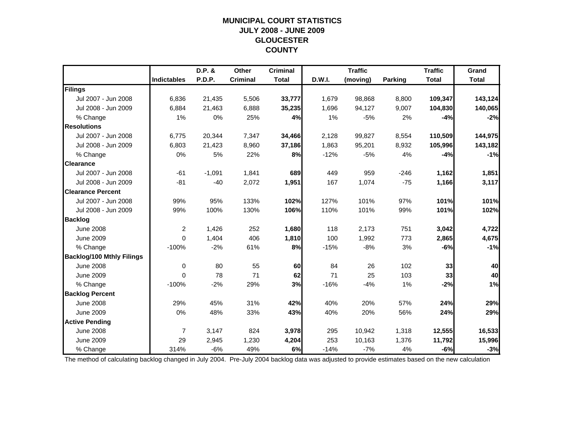## **MUNICIPAL COURT STATISTICSJULY 2008 - JUNE 2009 GLOUCESTER COUNTY**

|                                  |                    | D.P. &        | Other           | <b>Criminal</b> |        | <b>Traffic</b> |         | <b>Traffic</b> | Grand        |
|----------------------------------|--------------------|---------------|-----------------|-----------------|--------|----------------|---------|----------------|--------------|
|                                  | <b>Indictables</b> | <b>P.D.P.</b> | <b>Criminal</b> | <b>Total</b>    | D.W.I. | (moving)       | Parking | <b>Total</b>   | <b>Total</b> |
| Filings                          |                    |               |                 |                 |        |                |         |                |              |
| Jul 2007 - Jun 2008              | 6,836              | 21,435        | 5,506           | 33,777          | 1,679  | 98,868         | 8,800   | 109,347        | 143,124      |
| Jul 2008 - Jun 2009              | 6,884              | 21,463        | 6,888           | 35,235          | 1,696  | 94,127         | 9,007   | 104,830        | 140,065      |
| % Change                         | 1%                 | 0%            | 25%             | 4%              | 1%     | $-5%$          | 2%      | $-4%$          | $-2%$        |
| <b>Resolutions</b>               |                    |               |                 |                 |        |                |         |                |              |
| Jul 2007 - Jun 2008              | 6,775              | 20,344        | 7,347           | 34,466          | 2,128  | 99,827         | 8,554   | 110,509        | 144,975      |
| Jul 2008 - Jun 2009              | 6,803              | 21,423        | 8,960           | 37,186          | 1,863  | 95,201         | 8,932   | 105,996        | 143,182      |
| % Change                         | 0%                 | 5%            | 22%             | 8%              | $-12%$ | $-5%$          | 4%      | $-4%$          | $-1%$        |
| <b>Clearance</b>                 |                    |               |                 |                 |        |                |         |                |              |
| Jul 2007 - Jun 2008              | $-61$              | $-1,091$      | 1,841           | 689             | 449    | 959            | $-246$  | 1,162          | 1,851        |
| Jul 2008 - Jun 2009              | $-81$              | $-40$         | 2,072           | 1,951           | 167    | 1,074          | $-75$   | 1,166          | 3,117        |
| <b>Clearance Percent</b>         |                    |               |                 |                 |        |                |         |                |              |
| Jul 2007 - Jun 2008              | 99%                | 95%           | 133%            | 102%            | 127%   | 101%           | 97%     | 101%           | 101%         |
| Jul 2008 - Jun 2009              | 99%                | 100%          | 130%            | 106%            | 110%   | 101%           | 99%     | 101%           | 102%         |
| <b>Backlog</b>                   |                    |               |                 |                 |        |                |         |                |              |
| <b>June 2008</b>                 | $\overline{2}$     | 1,426         | 252             | 1,680           | 118    | 2,173          | 751     | 3,042          | 4,722        |
| <b>June 2009</b>                 | $\mathbf{0}$       | 1,404         | 406             | 1,810           | 100    | 1,992          | 773     | 2,865          | 4,675        |
| % Change                         | $-100%$            | $-2%$         | 61%             | 8%              | $-15%$ | $-8%$          | 3%      | $-6%$          | $-1%$        |
| <b>Backlog/100 Mthly Filings</b> |                    |               |                 |                 |        |                |         |                |              |
| <b>June 2008</b>                 | 0                  | 80            | 55              | 60              | 84     | 26             | 102     | 33             | 40           |
| <b>June 2009</b>                 | $\Omega$           | 78            | 71              | 62              | 71     | 25             | 103     | 33             | 40           |
| % Change                         | $-100%$            | $-2%$         | 29%             | 3%              | $-16%$ | $-4%$          | 1%      | $-2%$          | 1%           |
| <b>Backlog Percent</b>           |                    |               |                 |                 |        |                |         |                |              |
| <b>June 2008</b>                 | 29%                | 45%           | 31%             | 42%             | 40%    | 20%            | 57%     | 24%            | 29%          |
| <b>June 2009</b>                 | 0%                 | 48%           | 33%             | 43%             | 40%    | 20%            | 56%     | 24%            | 29%          |
| <b>Active Pending</b>            |                    |               |                 |                 |        |                |         |                |              |
| <b>June 2008</b>                 | $\overline{7}$     | 3,147         | 824             | 3,978           | 295    | 10,942         | 1,318   | 12,555         | 16,533       |
| <b>June 2009</b>                 | 29                 | 2,945         | 1,230           | 4,204           | 253    | 10,163         | 1,376   | 11,792         | 15,996       |
| % Change                         | 314%               | $-6%$         | 49%             | 6%              | $-14%$ | $-7%$          | 4%      | $-6%$          | $-3%$        |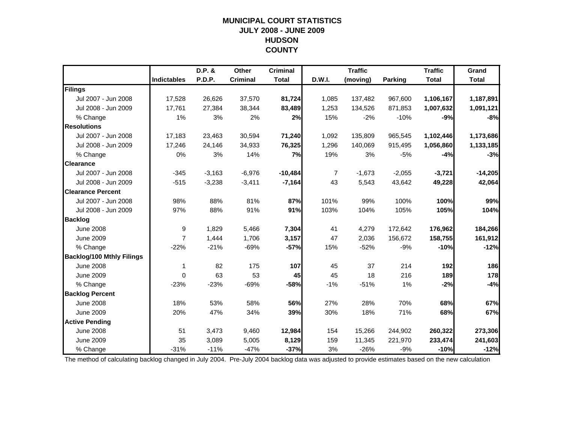#### **MUNICIPAL COURT STATISTICS JULY 2008 - JUNE 2009 HUDSON COUNTY**

|                                  |                    | D.P. &   | Other           | <b>Criminal</b> |        | <b>Traffic</b> |          | <b>Traffic</b> | Grand        |
|----------------------------------|--------------------|----------|-----------------|-----------------|--------|----------------|----------|----------------|--------------|
|                                  | <b>Indictables</b> | P.D.P.   | <b>Criminal</b> | <b>Total</b>    | D.W.I. | (moving)       | Parking  | <b>Total</b>   | <b>Total</b> |
| Filings                          |                    |          |                 |                 |        |                |          |                |              |
| Jul 2007 - Jun 2008              | 17,528             | 26,626   | 37,570          | 81,724          | 1,085  | 137,482        | 967,600  | 1,106,167      | 1,187,891    |
| Jul 2008 - Jun 2009              | 17,761             | 27,384   | 38,344          | 83,489          | 1,253  | 134,526        | 871,853  | 1,007,632      | 1,091,121    |
| % Change                         | 1%                 | 3%       | 2%              | 2%              | 15%    | $-2%$          | $-10%$   | $-9%$          | $-8%$        |
| <b>Resolutions</b>               |                    |          |                 |                 |        |                |          |                |              |
| Jul 2007 - Jun 2008              | 17,183             | 23,463   | 30,594          | 71,240          | 1,092  | 135,809        | 965,545  | 1,102,446      | 1,173,686    |
| Jul 2008 - Jun 2009              | 17.246             | 24,146   | 34,933          | 76,325          | 1,296  | 140,069        | 915,495  | 1,056,860      | 1,133,185    |
| % Change                         | 0%                 | 3%       | 14%             | 7%              | 19%    | 3%             | $-5%$    | $-4%$          | $-3%$        |
| <b>Clearance</b>                 |                    |          |                 |                 |        |                |          |                |              |
| Jul 2007 - Jun 2008              | $-345$             | $-3,163$ | $-6,976$        | $-10,484$       | 7      | $-1,673$       | $-2,055$ | $-3,721$       | $-14,205$    |
| Jul 2008 - Jun 2009              | $-515$             | $-3,238$ | $-3,411$        | $-7,164$        | 43     | 5,543          | 43,642   | 49,228         | 42,064       |
| <b>Clearance Percent</b>         |                    |          |                 |                 |        |                |          |                |              |
| Jul 2007 - Jun 2008              | 98%                | 88%      | 81%             | 87%             | 101%   | 99%            | 100%     | 100%           | 99%          |
| Jul 2008 - Jun 2009              | 97%                | 88%      | 91%             | 91%             | 103%   | 104%           | 105%     | 105%           | 104%         |
| <b>Backlog</b>                   |                    |          |                 |                 |        |                |          |                |              |
| <b>June 2008</b>                 | 9                  | 1,829    | 5,466           | 7,304           | 41     | 4,279          | 172,642  | 176,962        | 184,266      |
| <b>June 2009</b>                 | $\overline{7}$     | 1,444    | 1,706           | 3,157           | 47     | 2,036          | 156,672  | 158,755        | 161,912      |
| % Change                         | $-22%$             | $-21%$   | $-69%$          | $-57%$          | 15%    | $-52%$         | $-9%$    | $-10%$         | $-12%$       |
| <b>Backlog/100 Mthly Filings</b> |                    |          |                 |                 |        |                |          |                |              |
| <b>June 2008</b>                 | 1                  | 82       | 175             | 107             | 45     | 37             | 214      | 192            | 186          |
| <b>June 2009</b>                 | $\Omega$           | 63       | 53              | 45              | 45     | 18             | 216      | 189            | 178          |
| % Change                         | $-23%$             | $-23%$   | $-69%$          | $-58%$          | $-1%$  | $-51%$         | 1%       | $-2%$          | $-4%$        |
| <b>Backlog Percent</b>           |                    |          |                 |                 |        |                |          |                |              |
| <b>June 2008</b>                 | 18%                | 53%      | 58%             | 56%             | 27%    | 28%            | 70%      | 68%            | 67%          |
| <b>June 2009</b>                 | 20%                | 47%      | 34%             | 39%             | 30%    | 18%            | 71%      | 68%            | 67%          |
| <b>Active Pending</b>            |                    |          |                 |                 |        |                |          |                |              |
| <b>June 2008</b>                 | 51                 | 3,473    | 9,460           | 12,984          | 154    | 15,266         | 244.902  | 260,322        | 273,306      |
| <b>June 2009</b>                 | 35                 | 3,089    | 5,005           | 8,129           | 159    | 11,345         | 221,970  | 233,474        | 241,603      |
| % Change                         | $-31%$             | $-11%$   | $-47%$          | $-37%$          | 3%     | $-26%$         | $-9%$    | $-10%$         | $-12%$       |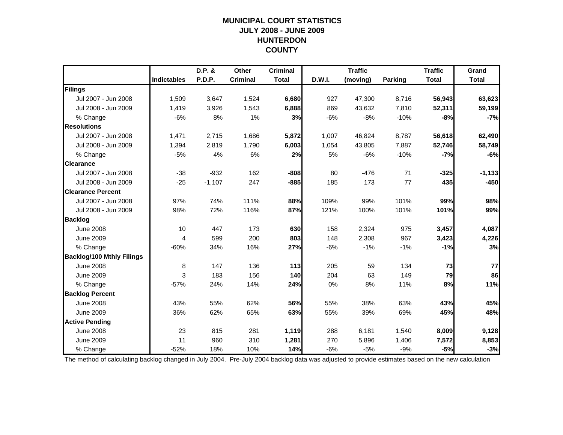## **MUNICIPAL COURT STATISTICSJULY 2008 - JUNE 2009 HUNTERDON COUNTY**

|                                  |                    | D.P. &        | Other           | <b>Criminal</b> |        | <b>Traffic</b> |         | <b>Traffic</b> | Grand        |
|----------------------------------|--------------------|---------------|-----------------|-----------------|--------|----------------|---------|----------------|--------------|
|                                  | <b>Indictables</b> | <b>P.D.P.</b> | <b>Criminal</b> | <b>Total</b>    | D.W.I. | (moving)       | Parking | <b>Total</b>   | <b>Total</b> |
| Filings                          |                    |               |                 |                 |        |                |         |                |              |
| Jul 2007 - Jun 2008              | 1,509              | 3,647         | 1,524           | 6,680           | 927    | 47,300         | 8,716   | 56,943         | 63,623       |
| Jul 2008 - Jun 2009              | 1.419              | 3,926         | 1,543           | 6,888           | 869    | 43,632         | 7,810   | 52,311         | 59,199       |
| % Change                         | $-6%$              | 8%            | 1%              | 3%              | $-6%$  | $-8%$          | $-10%$  | $-8%$          | $-7%$        |
| <b>Resolutions</b>               |                    |               |                 |                 |        |                |         |                |              |
| Jul 2007 - Jun 2008              | 1,471              | 2,715         | 1,686           | 5,872           | 1,007  | 46,824         | 8,787   | 56,618         | 62,490       |
| Jul 2008 - Jun 2009              | 1,394              | 2,819         | 1,790           | 6,003           | 1,054  | 43,805         | 7,887   | 52,746         | 58,749       |
| % Change                         | $-5%$              | 4%            | 6%              | 2%              | 5%     | $-6%$          | $-10%$  | $-7%$          | $-6%$        |
| <b>Clearance</b>                 |                    |               |                 |                 |        |                |         |                |              |
| Jul 2007 - Jun 2008              | $-38$              | $-932$        | 162             | $-808$          | 80     | $-476$         | 71      | $-325$         | $-1,133$     |
| Jul 2008 - Jun 2009              | $-25$              | $-1,107$      | 247             | $-885$          | 185    | 173            | 77      | 435            | $-450$       |
| <b>Clearance Percent</b>         |                    |               |                 |                 |        |                |         |                |              |
| Jul 2007 - Jun 2008              | 97%                | 74%           | 111%            | 88%             | 109%   | 99%            | 101%    | 99%            | 98%          |
| Jul 2008 - Jun 2009              | 98%                | 72%           | 116%            | 87%             | 121%   | 100%           | 101%    | 101%           | 99%          |
| <b>Backlog</b>                   |                    |               |                 |                 |        |                |         |                |              |
| <b>June 2008</b>                 | 10                 | 447           | 173             | 630             | 158    | 2,324          | 975     | 3,457          | 4,087        |
| <b>June 2009</b>                 | 4                  | 599           | 200             | 803             | 148    | 2,308          | 967     | 3,423          | 4,226        |
| % Change                         | $-60%$             | 34%           | 16%             | 27%             | $-6%$  | $-1%$          | $-1%$   | $-1%$          | 3%           |
| <b>Backlog/100 Mthly Filings</b> |                    |               |                 |                 |        |                |         |                |              |
| <b>June 2008</b>                 | 8                  | 147           | 136             | $113$           | 205    | 59             | 134     | 73             | 77           |
| <b>June 2009</b>                 | 3                  | 183           | 156             | 140             | 204    | 63             | 149     | 79             | 86           |
| % Change                         | $-57%$             | 24%           | 14%             | 24%             | 0%     | 8%             | 11%     | 8%             | 11%          |
| <b>Backlog Percent</b>           |                    |               |                 |                 |        |                |         |                |              |
| <b>June 2008</b>                 | 43%                | 55%           | 62%             | 56%             | 55%    | 38%            | 63%     | 43%            | 45%          |
| <b>June 2009</b>                 | 36%                | 62%           | 65%             | 63%             | 55%    | 39%            | 69%     | 45%            | 48%          |
| <b>Active Pending</b>            |                    |               |                 |                 |        |                |         |                |              |
| <b>June 2008</b>                 | 23                 | 815           | 281             | 1,119           | 288    | 6,181          | 1,540   | 8,009          | 9,128        |
| <b>June 2009</b>                 | 11                 | 960           | 310             | 1,281           | 270    | 5,896          | 1,406   | 7,572          | 8,853        |
| % Change                         | $-52%$             | 18%           | 10%             | 14%             | $-6%$  | $-5%$          | $-9%$   | $-5%$          | $-3%$        |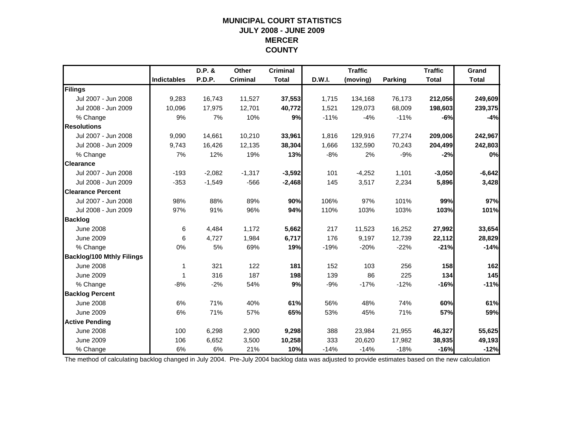## **MUNICIPAL COURT STATISTICSJULY 2008 - JUNE 2009 MERCER COUNTY**

|                                  |                    | D.P. &   | Other           | <b>Criminal</b> |        | <b>Traffic</b> |                | <b>Traffic</b> | Grand        |
|----------------------------------|--------------------|----------|-----------------|-----------------|--------|----------------|----------------|----------------|--------------|
|                                  | <b>Indictables</b> | P.D.P.   | <b>Criminal</b> | <b>Total</b>    | D.W.I. | (moving)       | <b>Parking</b> | <b>Total</b>   | <b>Total</b> |
| Filings                          |                    |          |                 |                 |        |                |                |                |              |
| Jul 2007 - Jun 2008              | 9,283              | 16,743   | 11,527          | 37,553          | 1,715  | 134,168        | 76,173         | 212,056        | 249,609      |
| Jul 2008 - Jun 2009              | 10,096             | 17,975   | 12,701          | 40,772          | 1,521  | 129,073        | 68,009         | 198,603        | 239,375      |
| % Change                         | 9%                 | 7%       | 10%             | 9%              | $-11%$ | $-4%$          | $-11%$         | $-6%$          | $-4%$        |
| <b>Resolutions</b>               |                    |          |                 |                 |        |                |                |                |              |
| Jul 2007 - Jun 2008              | 9,090              | 14,661   | 10,210          | 33,961          | 1,816  | 129,916        | 77,274         | 209,006        | 242,967      |
| Jul 2008 - Jun 2009              | 9.743              | 16,426   | 12,135          | 38,304          | 1.666  | 132,590        | 70,243         | 204,499        | 242,803      |
| % Change                         | 7%                 | 12%      | 19%             | 13%             | $-8%$  | 2%             | $-9%$          | $-2%$          | 0%           |
| <b>Clearance</b>                 |                    |          |                 |                 |        |                |                |                |              |
| Jul 2007 - Jun 2008              | $-193$             | $-2,082$ | $-1,317$        | $-3,592$        | 101    | $-4,252$       | 1,101          | $-3,050$       | $-6,642$     |
| Jul 2008 - Jun 2009              | $-353$             | $-1,549$ | $-566$          | $-2,468$        | 145    | 3,517          | 2,234          | 5,896          | 3,428        |
| <b>Clearance Percent</b>         |                    |          |                 |                 |        |                |                |                |              |
| Jul 2007 - Jun 2008              | 98%                | 88%      | 89%             | 90%             | 106%   | 97%            | 101%           | 99%            | 97%          |
| Jul 2008 - Jun 2009              | 97%                | 91%      | 96%             | 94%             | 110%   | 103%           | 103%           | 103%           | 101%         |
| <b>Backlog</b>                   |                    |          |                 |                 |        |                |                |                |              |
| <b>June 2008</b>                 | 6                  | 4,484    | 1,172           | 5,662           | 217    | 11,523         | 16,252         | 27,992         | 33,654       |
| <b>June 2009</b>                 | 6                  | 4,727    | 1,984           | 6,717           | 176    | 9,197          | 12,739         | 22,112         | 28,829       |
| % Change                         | 0%                 | 5%       | 69%             | 19%             | $-19%$ | $-20%$         | $-22%$         | $-21%$         | $-14%$       |
| <b>Backlog/100 Mthly Filings</b> |                    |          |                 |                 |        |                |                |                |              |
| <b>June 2008</b>                 | 1                  | 321      | 122             | 181             | 152    | 103            | 256            | 158            | 162          |
| <b>June 2009</b>                 | -1                 | 316      | 187             | 198             | 139    | 86             | 225            | 134            | 145          |
| % Change                         | $-8%$              | $-2%$    | 54%             | 9%              | $-9%$  | $-17%$         | $-12%$         | -16%           | $-11%$       |
| <b>Backlog Percent</b>           |                    |          |                 |                 |        |                |                |                |              |
| <b>June 2008</b>                 | 6%                 | 71%      | 40%             | 61%             | 56%    | 48%            | 74%            | 60%            | 61%          |
| <b>June 2009</b>                 | 6%                 | 71%      | 57%             | 65%             | 53%    | 45%            | 71%            | 57%            | 59%          |
| <b>Active Pending</b>            |                    |          |                 |                 |        |                |                |                |              |
| <b>June 2008</b>                 | 100                | 6,298    | 2,900           | 9,298           | 388    | 23,984         | 21,955         | 46,327         | 55,625       |
| <b>June 2009</b>                 | 106                | 6,652    | 3,500           | 10,258          | 333    | 20,620         | 17,982         | 38,935         | 49,193       |
| % Change                         | 6%                 | 6%       | 21%             | 10%             | $-14%$ | $-14%$         | $-18%$         | $-16%$         | $-12%$       |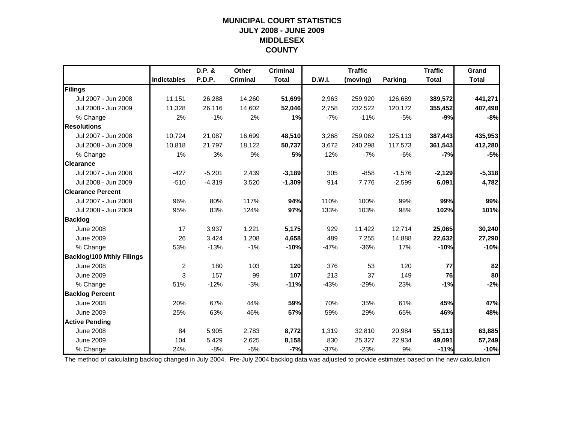#### **MUNICIPAL COURT STATISTICS JULY 2008 - JUNE 2009 MIDDLESEX COUNTY**

|                                  |                    | D.P. &   | Other           | <b>Criminal</b> |        | <b>Traffic</b> |                | <b>Traffic</b> | Grand        |
|----------------------------------|--------------------|----------|-----------------|-----------------|--------|----------------|----------------|----------------|--------------|
|                                  | <b>Indictables</b> | P.D.P.   | <b>Criminal</b> | <b>Total</b>    | D.W.I. | (moving)       | <b>Parking</b> | <b>Total</b>   | <b>Total</b> |
| Filings                          |                    |          |                 |                 |        |                |                |                |              |
| Jul 2007 - Jun 2008              | 11,151             | 26,288   | 14,260          | 51,699          | 2,963  | 259,920        | 126,689        | 389,572        | 441,271      |
| Jul 2008 - Jun 2009              | 11,328             | 26,116   | 14,602          | 52,046          | 2,758  | 232,522        | 120,172        | 355,452        | 407,498      |
| % Change                         | 2%                 | $-1%$    | 2%              | 1%              | $-7%$  | $-11%$         | $-5%$          | $-9%$          | $-8%$        |
| <b>Resolutions</b>               |                    |          |                 |                 |        |                |                |                |              |
| Jul 2007 - Jun 2008              | 10,724             | 21,087   | 16,699          | 48,510          | 3,268  | 259,062        | 125,113        | 387,443        | 435,953      |
| Jul 2008 - Jun 2009              | 10,818             | 21,797   | 18,122          | 50,737          | 3,672  | 240,298        | 117,573        | 361,543        | 412,280      |
| % Change                         | 1%                 | 3%       | 9%              | 5%              | 12%    | $-7%$          | $-6%$          | $-7%$          | $-5%$        |
| <b>Clearance</b>                 |                    |          |                 |                 |        |                |                |                |              |
| Jul 2007 - Jun 2008              | $-427$             | $-5,201$ | 2,439           | $-3,189$        | 305    | $-858$         | $-1,576$       | $-2,129$       | $-5,318$     |
| Jul 2008 - Jun 2009              | $-510$             | $-4,319$ | 3,520           | $-1,309$        | 914    | 7,776          | $-2,599$       | 6,091          | 4,782        |
| <b>Clearance Percent</b>         |                    |          |                 |                 |        |                |                |                |              |
| Jul 2007 - Jun 2008              | 96%                | 80%      | 117%            | 94%             | 110%   | 100%           | 99%            | 99%            | 99%          |
| Jul 2008 - Jun 2009              | 95%                | 83%      | 124%            | 97%             | 133%   | 103%           | 98%            | 102%           | 101%         |
| <b>Backlog</b>                   |                    |          |                 |                 |        |                |                |                |              |
| <b>June 2008</b>                 | 17                 | 3,937    | 1,221           | 5,175           | 929    | 11,422         | 12,714         | 25,065         | 30,240       |
| <b>June 2009</b>                 | 26                 | 3,424    | 1,208           | 4,658           | 489    | 7,255          | 14,888         | 22,632         | 27,290       |
| % Change                         | 53%                | $-13%$   | $-1%$           | $-10%$          | $-47%$ | $-36%$         | 17%            | $-10%$         | $-10%$       |
| <b>Backlog/100 Mthly Filings</b> |                    |          |                 |                 |        |                |                |                |              |
| <b>June 2008</b>                 | $\overline{c}$     | 180      | 103             | 120             | 376    | 53             | 120            | 77             | 82           |
| <b>June 2009</b>                 | 3                  | 157      | 99              | 107             | 213    | 37             | 149            | 76             | 80           |
| % Change                         | 51%                | $-12%$   | $-3%$           | $-11%$          | $-43%$ | $-29%$         | 23%            | $-1%$          | $-2%$        |
| <b>Backlog Percent</b>           |                    |          |                 |                 |        |                |                |                |              |
| <b>June 2008</b>                 | 20%                | 67%      | 44%             | 59%             | 70%    | 35%            | 61%            | 45%            | 47%          |
| <b>June 2009</b>                 | 25%                | 63%      | 46%             | 57%             | 59%    | 29%            | 65%            | 46%            | 48%          |
| <b>Active Pending</b>            |                    |          |                 |                 |        |                |                |                |              |
| <b>June 2008</b>                 | 84                 | 5,905    | 2,783           | 8,772           | 1,319  | 32,810         | 20,984         | 55,113         | 63,885       |
| <b>June 2009</b>                 | 104                | 5,429    | 2,625           | 8,158           | 830    | 25,327         | 22,934         | 49,091         | 57,249       |
| % Change                         | 24%                | $-8%$    | $-6%$           | $-7%$           | $-37%$ | $-23%$         | 9%             | $-11%$         | $-10%$       |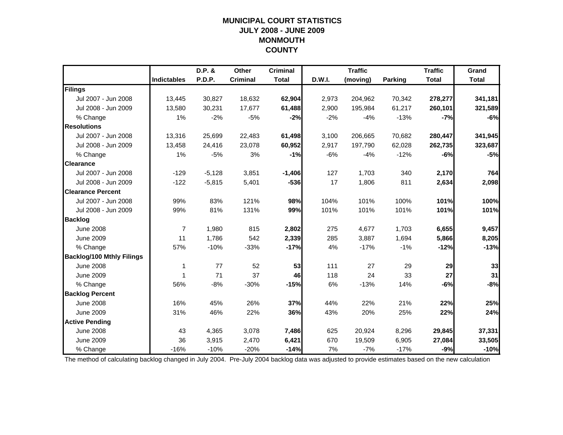#### **MUNICIPAL COURT STATISTICS JULY 2008 - JUNE 2009 MONMOUTH COUNTY**

|                                  |                    | D.P. &        | Other           | <b>Criminal</b> |        | <b>Traffic</b> |         | <b>Traffic</b> | Grand        |
|----------------------------------|--------------------|---------------|-----------------|-----------------|--------|----------------|---------|----------------|--------------|
|                                  | <b>Indictables</b> | <b>P.D.P.</b> | <b>Criminal</b> | <b>Total</b>    | D.W.I. | (moving)       | Parking | <b>Total</b>   | <b>Total</b> |
| Filings                          |                    |               |                 |                 |        |                |         |                |              |
| Jul 2007 - Jun 2008              | 13,445             | 30,827        | 18,632          | 62,904          | 2,973  | 204,962        | 70,342  | 278,277        | 341,181      |
| Jul 2008 - Jun 2009              | 13,580             | 30,231        | 17,677          | 61,488          | 2,900  | 195,984        | 61,217  | 260,101        | 321,589      |
| % Change                         | 1%                 | $-2%$         | $-5%$           | $-2%$           | $-2%$  | $-4%$          | $-13%$  | $-7%$          | $-6%$        |
| <b>Resolutions</b>               |                    |               |                 |                 |        |                |         |                |              |
| Jul 2007 - Jun 2008              | 13,316             | 25,699        | 22,483          | 61,498          | 3,100  | 206,665        | 70,682  | 280,447        | 341,945      |
| Jul 2008 - Jun 2009              | 13,458             | 24,416        | 23,078          | 60,952          | 2,917  | 197,790        | 62,028  | 262,735        | 323,687      |
| % Change                         | 1%                 | $-5%$         | 3%              | $-1%$           | $-6%$  | $-4%$          | $-12%$  | $-6%$          | $-5%$        |
| <b>Clearance</b>                 |                    |               |                 |                 |        |                |         |                |              |
| Jul 2007 - Jun 2008              | $-129$             | $-5,128$      | 3,851           | $-1,406$        | 127    | 1,703          | 340     | 2,170          | 764          |
| Jul 2008 - Jun 2009              | $-122$             | $-5,815$      | 5,401           | $-536$          | 17     | 1,806          | 811     | 2,634          | 2,098        |
| <b>Clearance Percent</b>         |                    |               |                 |                 |        |                |         |                |              |
| Jul 2007 - Jun 2008              | 99%                | 83%           | 121%            | 98%             | 104%   | 101%           | 100%    | 101%           | 100%         |
| Jul 2008 - Jun 2009              | 99%                | 81%           | 131%            | 99%             | 101%   | 101%           | 101%    | 101%           | 101%         |
| <b>Backlog</b>                   |                    |               |                 |                 |        |                |         |                |              |
| <b>June 2008</b>                 | $\overline{7}$     | 1,980         | 815             | 2,802           | 275    | 4,677          | 1,703   | 6,655          | 9,457        |
| <b>June 2009</b>                 | 11                 | 1,786         | 542             | 2,339           | 285    | 3,887          | 1,694   | 5,866          | 8,205        |
| % Change                         | 57%                | $-10%$        | $-33%$          | $-17%$          | 4%     | $-17%$         | $-1%$   | $-12%$         | $-13%$       |
| <b>Backlog/100 Mthly Filings</b> |                    |               |                 |                 |        |                |         |                |              |
| <b>June 2008</b>                 | 1                  | 77            | 52              | 53              | 111    | 27             | 29      | 29             | 33           |
| <b>June 2009</b>                 | 1                  | 71            | 37              | 46              | 118    | 24             | 33      | 27             | 31           |
| % Change                         | 56%                | $-8%$         | $-30%$          | $-15%$          | 6%     | $-13%$         | 14%     | $-6%$          | $-8%$        |
| <b>Backlog Percent</b>           |                    |               |                 |                 |        |                |         |                |              |
| <b>June 2008</b>                 | 16%                | 45%           | 26%             | 37%             | 44%    | 22%            | 21%     | 22%            | 25%          |
| <b>June 2009</b>                 | 31%                | 46%           | 22%             | 36%             | 43%    | 20%            | 25%     | 22%            | 24%          |
| <b>Active Pending</b>            |                    |               |                 |                 |        |                |         |                |              |
| <b>June 2008</b>                 | 43                 | 4,365         | 3,078           | 7,486           | 625    | 20,924         | 8,296   | 29,845         | 37,331       |
| <b>June 2009</b>                 | 36                 | 3,915         | 2,470           | 6,421           | 670    | 19,509         | 6,905   | 27,084         | 33,505       |
| % Change                         | $-16%$             | $-10%$        | $-20%$          | $-14%$          | 7%     | $-7%$          | $-17%$  | $-9%$          | $-10%$       |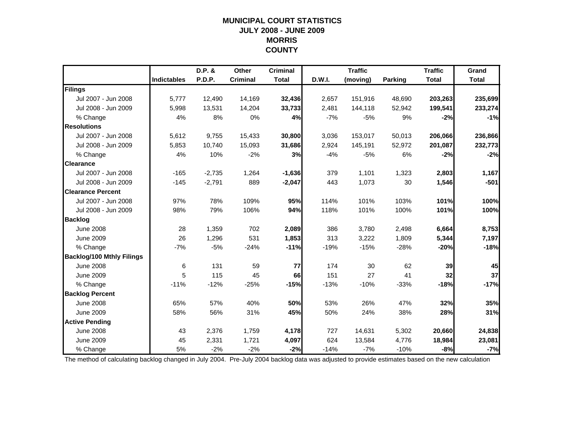## **MUNICIPAL COURT STATISTICSJULY 2008 - JUNE 2009 MORRIS COUNTY**

|                                  |                    | D.P. &   | Other           | <b>Criminal</b> |        | <b>Traffic</b> |                | <b>Traffic</b> | Grand        |
|----------------------------------|--------------------|----------|-----------------|-----------------|--------|----------------|----------------|----------------|--------------|
|                                  | <b>Indictables</b> | P.D.P.   | <b>Criminal</b> | <b>Total</b>    | D.W.I. | (moving)       | <b>Parking</b> | <b>Total</b>   | <b>Total</b> |
| Filings                          |                    |          |                 |                 |        |                |                |                |              |
| Jul 2007 - Jun 2008              | 5,777              | 12,490   | 14,169          | 32,436          | 2,657  | 151,916        | 48,690         | 203,263        | 235,699      |
| Jul 2008 - Jun 2009              | 5,998              | 13,531   | 14,204          | 33,733          | 2,481  | 144,118        | 52,942         | 199,541        | 233,274      |
| % Change                         | 4%                 | 8%       | 0%              | 4%              | $-7%$  | $-5%$          | 9%             | $-2%$          | $-1%$        |
| <b>Resolutions</b>               |                    |          |                 |                 |        |                |                |                |              |
| Jul 2007 - Jun 2008              | 5,612              | 9,755    | 15,433          | 30,800          | 3,036  | 153,017        | 50,013         | 206,066        | 236,866      |
| Jul 2008 - Jun 2009              | 5,853              | 10,740   | 15,093          | 31,686          | 2,924  | 145,191        | 52,972         | 201,087        | 232,773      |
| % Change                         | 4%                 | 10%      | $-2%$           | 3%              | $-4%$  | $-5%$          | 6%             | $-2%$          | $-2%$        |
| <b>Clearance</b>                 |                    |          |                 |                 |        |                |                |                |              |
| Jul 2007 - Jun 2008              | $-165$             | $-2,735$ | 1,264           | $-1,636$        | 379    | 1,101          | 1,323          | 2,803          | 1,167        |
| Jul 2008 - Jun 2009              | $-145$             | $-2,791$ | 889             | $-2,047$        | 443    | 1,073          | 30             | 1,546          | $-501$       |
| <b>Clearance Percent</b>         |                    |          |                 |                 |        |                |                |                |              |
| Jul 2007 - Jun 2008              | 97%                | 78%      | 109%            | 95%             | 114%   | 101%           | 103%           | 101%           | 100%         |
| Jul 2008 - Jun 2009              | 98%                | 79%      | 106%            | 94%             | 118%   | 101%           | 100%           | 101%           | 100%         |
| <b>Backlog</b>                   |                    |          |                 |                 |        |                |                |                |              |
| <b>June 2008</b>                 | 28                 | 1,359    | 702             | 2,089           | 386    | 3,780          | 2,498          | 6,664          | 8,753        |
| <b>June 2009</b>                 | 26                 | 1,296    | 531             | 1,853           | 313    | 3,222          | 1,809          | 5,344          | 7,197        |
| % Change                         | $-7%$              | $-5%$    | $-24%$          | $-11%$          | $-19%$ | $-15%$         | $-28%$         | -20%           | $-18%$       |
| <b>Backlog/100 Mthly Filings</b> |                    |          |                 |                 |        |                |                |                |              |
| <b>June 2008</b>                 | 6                  | 131      | 59              | 77              | 174    | 30             | 62             | 39             | 45           |
| <b>June 2009</b>                 | 5                  | 115      | 45              | 66              | 151    | 27             | 41             | 32             | 37           |
| % Change                         | $-11%$             | $-12%$   | $-25%$          | $-15%$          | $-13%$ | $-10%$         | $-33%$         | $-18%$         | $-17%$       |
| <b>Backlog Percent</b>           |                    |          |                 |                 |        |                |                |                |              |
| <b>June 2008</b>                 | 65%                | 57%      | 40%             | 50%             | 53%    | 26%            | 47%            | 32%            | 35%          |
| <b>June 2009</b>                 | 58%                | 56%      | 31%             | 45%             | 50%    | 24%            | 38%            | 28%            | 31%          |
| <b>Active Pending</b>            |                    |          |                 |                 |        |                |                |                |              |
| <b>June 2008</b>                 | 43                 | 2,376    | 1,759           | 4,178           | 727    | 14,631         | 5,302          | 20,660         | 24,838       |
| <b>June 2009</b>                 | 45                 | 2,331    | 1,721           | 4,097           | 624    | 13,584         | 4,776          | 18,984         | 23,081       |
| % Change                         | 5%                 | $-2%$    | $-2%$           | $-2%$           | $-14%$ | $-7%$          | $-10%$         | $-8%$          | $-7%$        |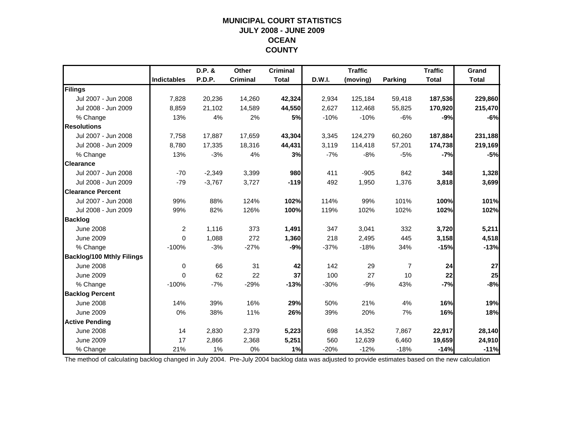## **MUNICIPAL COURT STATISTICSJULY 2008 - JUNE 2009 OCEAN COUNTY**

|                                  |                    | D.P. &   | Other           | <b>Criminal</b> |        | <b>Traffic</b> |                | <b>Traffic</b> | Grand        |
|----------------------------------|--------------------|----------|-----------------|-----------------|--------|----------------|----------------|----------------|--------------|
|                                  | <b>Indictables</b> | P.D.P.   | <b>Criminal</b> | <b>Total</b>    | D.W.I. | (moving)       | Parking        | <b>Total</b>   | <b>Total</b> |
| Filings                          |                    |          |                 |                 |        |                |                |                |              |
| Jul 2007 - Jun 2008              | 7,828              | 20,236   | 14,260          | 42,324          | 2,934  | 125,184        | 59,418         | 187,536        | 229,860      |
| Jul 2008 - Jun 2009              | 8,859              | 21,102   | 14,589          | 44,550          | 2,627  | 112,468        | 55,825         | 170,920        | 215,470      |
| % Change                         | 13%                | 4%       | 2%              | 5%              | $-10%$ | $-10%$         | $-6%$          | $-9%$          | $-6%$        |
| <b>Resolutions</b>               |                    |          |                 |                 |        |                |                |                |              |
| Jul 2007 - Jun 2008              | 7,758              | 17,887   | 17,659          | 43,304          | 3,345  | 124,279        | 60,260         | 187,884        | 231,188      |
| Jul 2008 - Jun 2009              | 8,780              | 17,335   | 18,316          | 44,431          | 3,119  | 114,418        | 57,201         | 174,738        | 219,169      |
| % Change                         | 13%                | $-3%$    | 4%              | 3%              | $-7%$  | $-8%$          | $-5%$          | $-7%$          | $-5%$        |
| <b>Clearance</b>                 |                    |          |                 |                 |        |                |                |                |              |
| Jul 2007 - Jun 2008              | $-70$              | $-2,349$ | 3,399           | 980             | 411    | $-905$         | 842            | 348            | 1,328        |
| Jul 2008 - Jun 2009              | $-79$              | $-3,767$ | 3,727           | $-119$          | 492    | 1,950          | 1,376          | 3,818          | 3,699        |
| <b>Clearance Percent</b>         |                    |          |                 |                 |        |                |                |                |              |
| Jul 2007 - Jun 2008              | 99%                | 88%      | 124%            | 102%            | 114%   | 99%            | 101%           | 100%           | 101%         |
| Jul 2008 - Jun 2009              | 99%                | 82%      | 126%            | 100%            | 119%   | 102%           | 102%           | 102%           | 102%         |
| <b>Backlog</b>                   |                    |          |                 |                 |        |                |                |                |              |
| <b>June 2008</b>                 | $\overline{2}$     | 1,116    | 373             | 1,491           | 347    | 3,041          | 332            | 3,720          | 5,211        |
| <b>June 2009</b>                 | $\mathbf{0}$       | 1,088    | 272             | 1,360           | 218    | 2,495          | 445            | 3,158          | 4,518        |
| % Change                         | $-100%$            | $-3%$    | $-27%$          | $-9%$           | $-37%$ | $-18%$         | 34%            | $-15%$         | $-13%$       |
| <b>Backlog/100 Mthly Filings</b> |                    |          |                 |                 |        |                |                |                |              |
| <b>June 2008</b>                 | $\mathbf 0$        | 66       | 31              | 42              | 142    | 29             | $\overline{7}$ | 24             | 27           |
| <b>June 2009</b>                 | $\mathbf{0}$       | 62       | 22              | 37              | 100    | 27             | 10             | 22             | 25           |
| % Change                         | $-100%$            | $-7%$    | $-29%$          | $-13%$          | $-30%$ | $-9%$          | 43%            | $-7%$          | $-8%$        |
| <b>Backlog Percent</b>           |                    |          |                 |                 |        |                |                |                |              |
| <b>June 2008</b>                 | 14%                | 39%      | 16%             | 29%             | 50%    | 21%            | 4%             | 16%            | 19%          |
| <b>June 2009</b>                 | 0%                 | 38%      | 11%             | 26%             | 39%    | 20%            | 7%             | 16%            | 18%          |
| <b>Active Pending</b>            |                    |          |                 |                 |        |                |                |                |              |
| <b>June 2008</b>                 | 14                 | 2,830    | 2,379           | 5,223           | 698    | 14,352         | 7.867          | 22,917         | 28,140       |
| <b>June 2009</b>                 | 17                 | 2,866    | 2,368           | 5,251           | 560    | 12,639         | 6,460          | 19,659         | 24,910       |
| % Change                         | 21%                | 1%       | 0%              | 1%              | $-20%$ | $-12%$         | $-18%$         | $-14%$         | $-11%$       |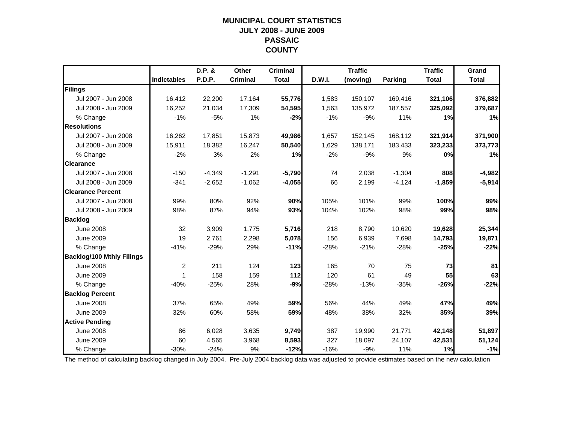## **MUNICIPAL COURT STATISTICSJULY 2008 - JUNE 2009 PASSAIC COUNTY**

|                                  |                    | D.P. &   | Other           | <b>Criminal</b> |        | <b>Traffic</b> |          | <b>Traffic</b> | Grand        |
|----------------------------------|--------------------|----------|-----------------|-----------------|--------|----------------|----------|----------------|--------------|
|                                  | <b>Indictables</b> | P.D.P.   | <b>Criminal</b> | <b>Total</b>    | D.W.I. | (moving)       | Parking  | <b>Total</b>   | <b>Total</b> |
| Filings                          |                    |          |                 |                 |        |                |          |                |              |
| Jul 2007 - Jun 2008              | 16,412             | 22,200   | 17,164          | 55,776          | 1,583  | 150,107        | 169,416  | 321,106        | 376,882      |
| Jul 2008 - Jun 2009              | 16,252             | 21,034   | 17,309          | 54,595          | 1,563  | 135,972        | 187,557  | 325,092        | 379,687      |
| % Change                         | $-1%$              | $-5%$    | 1%              | $-2%$           | $-1%$  | $-9%$          | 11%      | 1%             | 1%           |
| <b>Resolutions</b>               |                    |          |                 |                 |        |                |          |                |              |
| Jul 2007 - Jun 2008              | 16,262             | 17,851   | 15,873          | 49,986          | 1,657  | 152,145        | 168,112  | 321,914        | 371,900      |
| Jul 2008 - Jun 2009              | 15,911             | 18,382   | 16,247          | 50,540          | 1,629  | 138,171        | 183,433  | 323,233        | 373,773      |
| % Change                         | $-2%$              | 3%       | 2%              | 1%              | $-2%$  | $-9%$          | 9%       | 0%             | 1%           |
| <b>Clearance</b>                 |                    |          |                 |                 |        |                |          |                |              |
| Jul 2007 - Jun 2008              | $-150$             | $-4,349$ | $-1,291$        | $-5,790$        | 74     | 2,038          | $-1,304$ | 808            | $-4,982$     |
| Jul 2008 - Jun 2009              | $-341$             | $-2,652$ | $-1,062$        | $-4,055$        | 66     | 2,199          | $-4,124$ | $-1,859$       | $-5,914$     |
| <b>Clearance Percent</b>         |                    |          |                 |                 |        |                |          |                |              |
| Jul 2007 - Jun 2008              | 99%                | 80%      | 92%             | 90%             | 105%   | 101%           | 99%      | 100%           | 99%          |
| Jul 2008 - Jun 2009              | 98%                | 87%      | 94%             | 93%             | 104%   | 102%           | 98%      | 99%            | 98%          |
| <b>Backlog</b>                   |                    |          |                 |                 |        |                |          |                |              |
| <b>June 2008</b>                 | 32                 | 3,909    | 1,775           | 5,716           | 218    | 8,790          | 10,620   | 19,628         | 25,344       |
| <b>June 2009</b>                 | 19                 | 2,761    | 2,298           | 5,078           | 156    | 6,939          | 7,698    | 14,793         | 19,871       |
| % Change                         | $-41%$             | $-29%$   | 29%             | $-11%$          | $-28%$ | $-21%$         | $-28%$   | $-25%$         | $-22%$       |
| <b>Backlog/100 Mthly Filings</b> |                    |          |                 |                 |        |                |          |                |              |
| <b>June 2008</b>                 | $\overline{c}$     | 211      | 124             | 123             | 165    | 70             | 75       | 73             | 81           |
| <b>June 2009</b>                 | 1                  | 158      | 159             | 112             | 120    | 61             | 49       | 55             | 63           |
| % Change                         | $-40%$             | $-25%$   | 28%             | $-9%$           | $-28%$ | $-13%$         | $-35%$   | $-26%$         | $-22%$       |
| <b>Backlog Percent</b>           |                    |          |                 |                 |        |                |          |                |              |
| <b>June 2008</b>                 | 37%                | 65%      | 49%             | 59%             | 56%    | 44%            | 49%      | 47%            | 49%          |
| <b>June 2009</b>                 | 32%                | 60%      | 58%             | 59%             | 48%    | 38%            | 32%      | 35%            | 39%          |
| <b>Active Pending</b>            |                    |          |                 |                 |        |                |          |                |              |
| <b>June 2008</b>                 | 86                 | 6,028    | 3,635           | 9,749           | 387    | 19,990         | 21,771   | 42,148         | 51,897       |
| <b>June 2009</b>                 | 60                 | 4,565    | 3,968           | 8,593           | 327    | 18,097         | 24,107   | 42,531         | 51,124       |
| % Change                         | $-30%$             | $-24%$   | 9%              | $-12%$          | $-16%$ | $-9%$          | 11%      | 1%             | $-1%$        |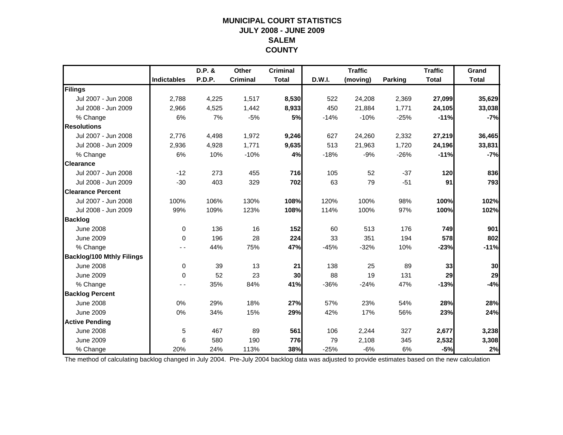## **MUNICIPAL COURT STATISTICSJULY 2008 - JUNE 2009 SALEMCOUNTY**

|                                  |             | D.P. & | Other           | <b>Criminal</b> |               | <b>Traffic</b> |         | <b>Traffic</b> | Grand        |
|----------------------------------|-------------|--------|-----------------|-----------------|---------------|----------------|---------|----------------|--------------|
|                                  | Indictables | P.D.P. | <b>Criminal</b> | <b>Total</b>    | <b>D.W.I.</b> | (moving)       | Parking | <b>Total</b>   | <b>Total</b> |
| Filings                          |             |        |                 |                 |               |                |         |                |              |
| Jul 2007 - Jun 2008              | 2,788       | 4,225  | 1,517           | 8,530           | 522           | 24,208         | 2,369   | 27,099         | 35,629       |
| Jul 2008 - Jun 2009              | 2,966       | 4,525  | 1,442           | 8,933           | 450           | 21,884         | 1,771   | 24,105         | 33,038       |
| % Change                         | 6%          | 7%     | $-5%$           | 5%              | $-14%$        | $-10%$         | $-25%$  | $-11%$         | $-7%$        |
| <b>Resolutions</b>               |             |        |                 |                 |               |                |         |                |              |
| Jul 2007 - Jun 2008              | 2,776       | 4,498  | 1,972           | 9,246           | 627           | 24,260         | 2,332   | 27,219         | 36,465       |
| Jul 2008 - Jun 2009              | 2,936       | 4,928  | 1,771           | 9,635           | 513           | 21,963         | 1,720   | 24,196         | 33,831       |
| % Change                         | 6%          | 10%    | $-10%$          | 4%              | $-18%$        | $-9%$          | $-26%$  | $-11%$         | $-7%$        |
| <b>Clearance</b>                 |             |        |                 |                 |               |                |         |                |              |
| Jul 2007 - Jun 2008              | $-12$       | 273    | 455             | 716             | 105           | 52             | $-37$   | 120            | 836          |
| Jul 2008 - Jun 2009              | $-30$       | 403    | 329             | 702             | 63            | 79             | $-51$   | 91             | 793          |
| <b>Clearance Percent</b>         |             |        |                 |                 |               |                |         |                |              |
| Jul 2007 - Jun 2008              | 100%        | 106%   | 130%            | 108%            | 120%          | 100%           | 98%     | 100%           | 102%         |
| Jul 2008 - Jun 2009              | 99%         | 109%   | 123%            | 108%            | 114%          | 100%           | 97%     | 100%           | 102%         |
| <b>Backlog</b>                   |             |        |                 |                 |               |                |         |                |              |
| <b>June 2008</b>                 | $\mathbf 0$ | 136    | 16              | 152             | 60            | 513            | 176     | 749            | 901          |
| <b>June 2009</b>                 | $\mathbf 0$ | 196    | 28              | 224             | 33            | 351            | 194     | 578            | 802          |
| % Change                         |             | 44%    | 75%             | 47%             | $-45%$        | $-32%$         | 10%     | $-23%$         | $-11%$       |
| <b>Backlog/100 Mthly Filings</b> |             |        |                 |                 |               |                |         |                |              |
| <b>June 2008</b>                 | 0           | 39     | 13              | 21              | 138           | 25             | 89      | 33             | 30           |
| <b>June 2009</b>                 | $\Omega$    | 52     | 23              | 30              | 88            | 19             | 131     | 29             | 29           |
| % Change                         |             | 35%    | 84%             | 41%             | $-36%$        | $-24%$         | 47%     | $-13%$         | $-4%$        |
| <b>Backlog Percent</b>           |             |        |                 |                 |               |                |         |                |              |
| <b>June 2008</b>                 | 0%          | 29%    | 18%             | 27%             | 57%           | 23%            | 54%     | 28%            | 28%          |
| <b>June 2009</b>                 | 0%          | 34%    | 15%             | 29%             | 42%           | 17%            | 56%     | 23%            | 24%          |
| <b>Active Pending</b>            |             |        |                 |                 |               |                |         |                |              |
| <b>June 2008</b>                 | 5           | 467    | 89              | 561             | 106           | 2,244          | 327     | 2,677          | 3,238        |
| <b>June 2009</b>                 | 6           | 580    | 190             | 776             | 79            | 2,108          | 345     | 2,532          | 3,308        |
| % Change                         | 20%         | 24%    | 113%            | 38%             | $-25%$        | $-6%$          | 6%      | $-5%$          | 2%           |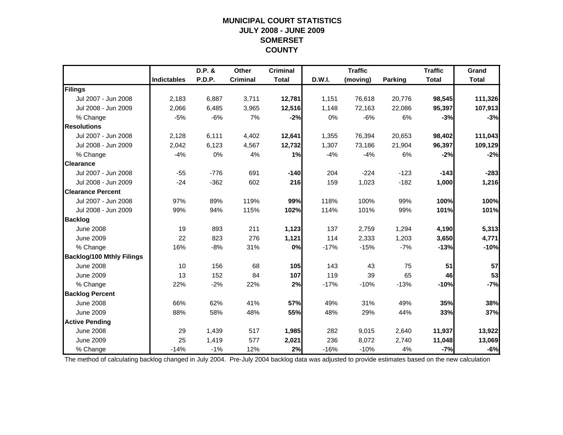#### **MUNICIPAL COURT STATISTICS JULY 2008 - JUNE 2009 SOMERSET COUNTY**

|                                  |                    | D.P. &        | Other           | <b>Criminal</b> |        | <b>Traffic</b> |         | <b>Traffic</b> | Grand        |
|----------------------------------|--------------------|---------------|-----------------|-----------------|--------|----------------|---------|----------------|--------------|
|                                  | <b>Indictables</b> | <b>P.D.P.</b> | <b>Criminal</b> | <b>Total</b>    | D.W.I. | (moving)       | Parking | <b>Total</b>   | <b>Total</b> |
| Filings                          |                    |               |                 |                 |        |                |         |                |              |
| Jul 2007 - Jun 2008              | 2,183              | 6,887         | 3,711           | 12,781          | 1,151  | 76,618         | 20,776  | 98,545         | 111,326      |
| Jul 2008 - Jun 2009              | 2,066              | 6,485         | 3,965           | 12,516          | 1,148  | 72,163         | 22,086  | 95,397         | 107,913      |
| % Change                         | $-5%$              | $-6%$         | 7%              | $-2%$           | 0%     | $-6%$          | 6%      | $-3%$          | $-3%$        |
| <b>Resolutions</b>               |                    |               |                 |                 |        |                |         |                |              |
| Jul 2007 - Jun 2008              | 2,128              | 6,111         | 4,402           | 12,641          | 1,355  | 76,394         | 20,653  | 98,402         | 111,043      |
| Jul 2008 - Jun 2009              | 2,042              | 6,123         | 4,567           | 12,732          | 1,307  | 73,186         | 21,904  | 96,397         | 109,129      |
| % Change                         | $-4%$              | 0%            | 4%              | 1%              | $-4%$  | $-4%$          | 6%      | $-2%$          | $-2%$        |
| <b>Clearance</b>                 |                    |               |                 |                 |        |                |         |                |              |
| Jul 2007 - Jun 2008              | $-55$              | $-776$        | 691             | $-140$          | 204    | $-224$         | $-123$  | $-143$         | $-283$       |
| Jul 2008 - Jun 2009              | $-24$              | $-362$        | 602             | 216             | 159    | 1,023          | $-182$  | 1,000          | 1,216        |
| <b>Clearance Percent</b>         |                    |               |                 |                 |        |                |         |                |              |
| Jul 2007 - Jun 2008              | 97%                | 89%           | 119%            | 99%             | 118%   | 100%           | 99%     | 100%           | 100%         |
| Jul 2008 - Jun 2009              | 99%                | 94%           | 115%            | 102%            | 114%   | 101%           | 99%     | 101%           | 101%         |
| <b>Backlog</b>                   |                    |               |                 |                 |        |                |         |                |              |
| <b>June 2008</b>                 | 19                 | 893           | 211             | 1,123           | 137    | 2,759          | 1,294   | 4,190          | 5,313        |
| <b>June 2009</b>                 | 22                 | 823           | 276             | 1,121           | 114    | 2,333          | 1,203   | 3,650          | 4,771        |
| % Change                         | 16%                | $-8%$         | 31%             | 0%              | $-17%$ | $-15%$         | $-7%$   | $-13%$         | $-10%$       |
| <b>Backlog/100 Mthly Filings</b> |                    |               |                 |                 |        |                |         |                |              |
| <b>June 2008</b>                 | 10                 | 156           | 68              | 105             | 143    | 43             | 75      | 51             | 57           |
| <b>June 2009</b>                 | 13                 | 152           | 84              | 107             | 119    | 39             | 65      | 46             | 53           |
| % Change                         | 22%                | $-2%$         | 22%             | 2%              | $-17%$ | $-10%$         | $-13%$  | $-10%$         | $-7%$        |
| <b>Backlog Percent</b>           |                    |               |                 |                 |        |                |         |                |              |
| <b>June 2008</b>                 | 66%                | 62%           | 41%             | 57%             | 49%    | 31%            | 49%     | 35%            | 38%          |
| <b>June 2009</b>                 | 88%                | 58%           | 48%             | 55%             | 48%    | 29%            | 44%     | 33%            | 37%          |
| <b>Active Pending</b>            |                    |               |                 |                 |        |                |         |                |              |
| <b>June 2008</b>                 | 29                 | 1,439         | 517             | 1,985           | 282    | 9,015          | 2,640   | 11,937         | 13,922       |
| <b>June 2009</b>                 | 25                 | 1,419         | 577             | 2,021           | 236    | 8,072          | 2,740   | 11,048         | 13,069       |
| % Change                         | $-14%$             | $-1%$         | 12%             | 2%              | $-16%$ | $-10%$         | 4%      | $-7%$          | $-6%$        |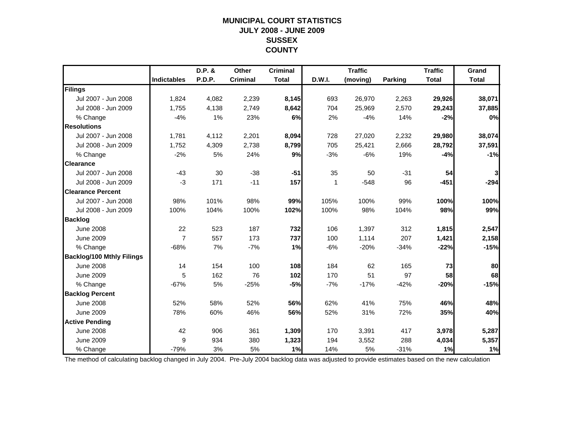## **MUNICIPAL COURT STATISTICSJULY 2008 - JUNE 2009 SUSSEX COUNTY**

|                                  |                    | D.P. & | Other           | <b>Criminal</b> |        | <b>Traffic</b> |                | <b>Traffic</b> | Grand        |
|----------------------------------|--------------------|--------|-----------------|-----------------|--------|----------------|----------------|----------------|--------------|
|                                  | <b>Indictables</b> | P.D.P. | <b>Criminal</b> | <b>Total</b>    | D.W.I. | (moving)       | <b>Parking</b> | <b>Total</b>   | <b>Total</b> |
| Filings                          |                    |        |                 |                 |        |                |                |                |              |
| Jul 2007 - Jun 2008              | 1,824              | 4,082  | 2,239           | 8,145           | 693    | 26,970         | 2,263          | 29,926         | 38,071       |
| Jul 2008 - Jun 2009              | 1,755              | 4,138  | 2,749           | 8,642           | 704    | 25,969         | 2,570          | 29,243         | 37,885       |
| % Change                         | $-4%$              | 1%     | 23%             | 6%              | 2%     | $-4%$          | 14%            | $-2%$          | 0%           |
| <b>Resolutions</b>               |                    |        |                 |                 |        |                |                |                |              |
| Jul 2007 - Jun 2008              | 1,781              | 4,112  | 2,201           | 8,094           | 728    | 27,020         | 2,232          | 29,980         | 38,074       |
| Jul 2008 - Jun 2009              | 1,752              | 4,309  | 2,738           | 8,799           | 705    | 25,421         | 2,666          | 28,792         | 37,591       |
| % Change                         | $-2%$              | 5%     | 24%             | 9%              | $-3%$  | $-6%$          | 19%            | $-4%$          | $-1%$        |
| <b>Clearance</b>                 |                    |        |                 |                 |        |                |                |                |              |
| Jul 2007 - Jun 2008              | $-43$              | 30     | $-38$           | $-51$           | 35     | 50             | $-31$          | 54             | 3            |
| Jul 2008 - Jun 2009              | $-3$               | 171    | $-11$           | 157             | 1      | $-548$         | 96             | $-451$         | $-294$       |
| <b>Clearance Percent</b>         |                    |        |                 |                 |        |                |                |                |              |
| Jul 2007 - Jun 2008              | 98%                | 101%   | 98%             | 99%             | 105%   | 100%           | 99%            | 100%           | 100%         |
| Jul 2008 - Jun 2009              | 100%               | 104%   | 100%            | 102%            | 100%   | 98%            | 104%           | 98%            | 99%          |
| <b>Backlog</b>                   |                    |        |                 |                 |        |                |                |                |              |
| <b>June 2008</b>                 | 22                 | 523    | 187             | 732             | 106    | 1,397          | 312            | 1,815          | 2,547        |
| <b>June 2009</b>                 | $\overline{7}$     | 557    | 173             | 737             | 100    | 1,114          | 207            | 1,421          | 2,158        |
| % Change                         | $-68%$             | 7%     | $-7%$           | 1%              | $-6%$  | $-20%$         | $-34%$         | $-22%$         | $-15%$       |
| <b>Backlog/100 Mthly Filings</b> |                    |        |                 |                 |        |                |                |                |              |
| <b>June 2008</b>                 | 14                 | 154    | 100             | 108             | 184    | 62             | 165            | 73             | 80           |
| <b>June 2009</b>                 | 5                  | 162    | 76              | 102             | 170    | 51             | 97             | 58             | 68           |
| % Change                         | $-67%$             | 5%     | $-25%$          | $-5%$           | $-7%$  | $-17%$         | $-42%$         | $-20%$         | $-15%$       |
| <b>Backlog Percent</b>           |                    |        |                 |                 |        |                |                |                |              |
| <b>June 2008</b>                 | 52%                | 58%    | 52%             | 56%             | 62%    | 41%            | 75%            | 46%            | 48%          |
| <b>June 2009</b>                 | 78%                | 60%    | 46%             | 56%             | 52%    | 31%            | 72%            | 35%            | 40%          |
| <b>Active Pending</b>            |                    |        |                 |                 |        |                |                |                |              |
| <b>June 2008</b>                 | 42                 | 906    | 361             | 1,309           | 170    | 3,391          | 417            | 3,978          | 5,287        |
| <b>June 2009</b>                 | 9                  | 934    | 380             | 1,323           | 194    | 3,552          | 288            | 4,034          | 5,357        |
| % Change                         | $-79%$             | 3%     | 5%              | 1%              | 14%    | 5%             | $-31%$         | 1%             | 1%           |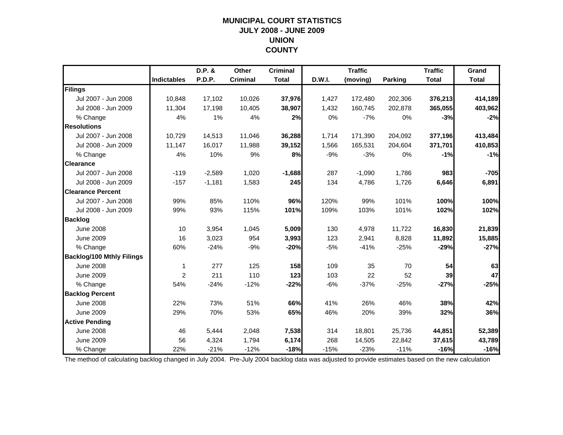## **MUNICIPAL COURT STATISTICSJULY 2008 - JUNE 2009 UNION COUNTY**

|                                  |                    | D.P. &        | Other           | <b>Criminal</b> |        | <b>Traffic</b> |         | <b>Traffic</b> | Grand        |
|----------------------------------|--------------------|---------------|-----------------|-----------------|--------|----------------|---------|----------------|--------------|
|                                  | <b>Indictables</b> | <b>P.D.P.</b> | <b>Criminal</b> | <b>Total</b>    | D.W.I. | (moving)       | Parking | <b>Total</b>   | <b>Total</b> |
| Filings                          |                    |               |                 |                 |        |                |         |                |              |
| Jul 2007 - Jun 2008              | 10.848             | 17,102        | 10,026          | 37,976          | 1,427  | 172,480        | 202,306 | 376,213        | 414,189      |
| Jul 2008 - Jun 2009              | 11,304             | 17,198        | 10,405          | 38,907          | 1,432  | 160,745        | 202,878 | 365,055        | 403,962      |
| % Change                         | 4%                 | 1%            | 4%              | 2%              | 0%     | $-7%$          | 0%      | $-3%$          | $-2%$        |
| <b>Resolutions</b>               |                    |               |                 |                 |        |                |         |                |              |
| Jul 2007 - Jun 2008              | 10,729             | 14,513        | 11,046          | 36,288          | 1,714  | 171,390        | 204,092 | 377,196        | 413,484      |
| Jul 2008 - Jun 2009              | 11,147             | 16,017        | 11,988          | 39,152          | 1,566  | 165,531        | 204,604 | 371,701        | 410,853      |
| % Change                         | 4%                 | 10%           | 9%              | 8%              | $-9%$  | $-3%$          | 0%      | $-1%$          | $-1%$        |
| <b>Clearance</b>                 |                    |               |                 |                 |        |                |         |                |              |
| Jul 2007 - Jun 2008              | $-119$             | $-2,589$      | 1,020           | $-1,688$        | 287    | $-1,090$       | 1,786   | 983            | $-705$       |
| Jul 2008 - Jun 2009              | $-157$             | $-1,181$      | 1,583           | 245             | 134    | 4,786          | 1,726   | 6,646          | 6,891        |
| <b>Clearance Percent</b>         |                    |               |                 |                 |        |                |         |                |              |
| Jul 2007 - Jun 2008              | 99%                | 85%           | 110%            | 96%             | 120%   | 99%            | 101%    | 100%           | 100%         |
| Jul 2008 - Jun 2009              | 99%                | 93%           | 115%            | 101%            | 109%   | 103%           | 101%    | 102%           | 102%         |
| <b>Backlog</b>                   |                    |               |                 |                 |        |                |         |                |              |
| <b>June 2008</b>                 | 10                 | 3,954         | 1,045           | 5,009           | 130    | 4,978          | 11,722  | 16,830         | 21,839       |
| <b>June 2009</b>                 | 16                 | 3,023         | 954             | 3,993           | 123    | 2,941          | 8,828   | 11,892         | 15,885       |
| % Change                         | 60%                | $-24%$        | $-9%$           | $-20%$          | $-5%$  | $-41%$         | $-25%$  | $-29%$         | $-27%$       |
| <b>Backlog/100 Mthly Filings</b> |                    |               |                 |                 |        |                |         |                |              |
| <b>June 2008</b>                 | 1                  | 277           | 125             | 158             | 109    | 35             | 70      | 54             | 63           |
| <b>June 2009</b>                 | 2                  | 211           | 110             | 123             | 103    | 22             | 52      | 39             | 47           |
| % Change                         | 54%                | $-24%$        | $-12%$          | $-22%$          | $-6%$  | $-37%$         | $-25%$  | $-27%$         | $-25%$       |
| <b>Backlog Percent</b>           |                    |               |                 |                 |        |                |         |                |              |
| <b>June 2008</b>                 | 22%                | 73%           | 51%             | 66%             | 41%    | 26%            | 46%     | 38%            | 42%          |
| <b>June 2009</b>                 | 29%                | 70%           | 53%             | 65%             | 46%    | 20%            | 39%     | 32%            | 36%          |
| <b>Active Pending</b>            |                    |               |                 |                 |        |                |         |                |              |
| <b>June 2008</b>                 | 46                 | 5,444         | 2,048           | 7,538           | 314    | 18,801         | 25,736  | 44,851         | 52,389       |
| <b>June 2009</b>                 | 56                 | 4,324         | 1,794           | 6,174           | 268    | 14,505         | 22,842  | 37,615         | 43,789       |
| % Change                         | 22%                | $-21%$        | $-12%$          | $-18%$          | $-15%$ | $-23%$         | $-11%$  | $-16%$         | $-16%$       |